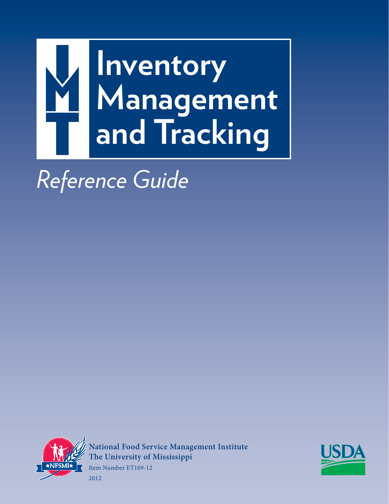

*Reference Guide*



**National Food Service Management Institute The University of Mississippi** Item Number ET109-12



2012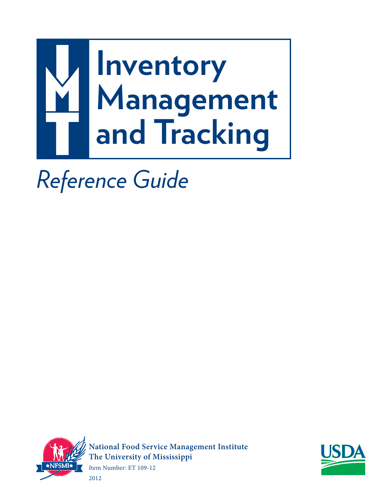

*Reference Guide*



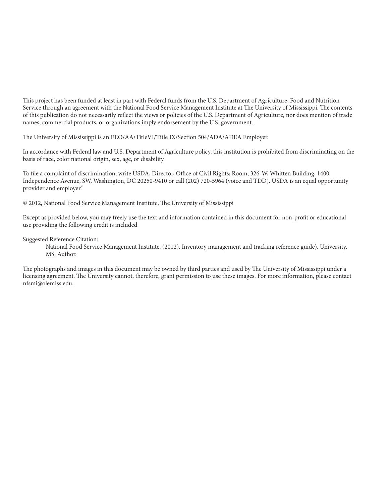This project has been funded at least in part with Federal funds from the U.S. Department of Agriculture, Food and Nutrition Service through an agreement with the National Food Service Management Institute at The University of Mississippi. The contents of this publication do not necessarily reflect the views or policies of the U.S. Department of Agriculture, nor does mention of trade names, commercial products, or organizations imply endorsement by the U.S. government.

The University of Mississippi is an EEO/AA/TitleVI/Title IX/Section 504/ADA/ADEA Employer.

In accordance with Federal law and U.S. Department of Agriculture policy, this institution is prohibited from discriminating on the basis of race, color national origin, sex, age, or disability.

To file a complaint of discrimination, write USDA, Director, Office of Civil Rights; Room, 326-W, Whitten Building, 1400 Independence Avenue, SW, Washington, DC 20250-9410 or call (202) 720-5964 (voice and TDD). USDA is an equal opportunity provider and employer."

© 2012, National Food Service Management Institute, The University of Mississippi

Except as provided below, you may freely use the text and information contained in this document for non-profit or educational use providing the following credit is included

Suggested Reference Citation:

 National Food Service Management Institute. (2012). Inventory management and tracking reference guide). University, MS: Author.

The photographs and images in this document may be owned by third parties and used by The University of Mississippi under a licensing agreement. The University cannot, therefore, grant permission to use these images. For more information, please contact nfsmi@olemiss.edu.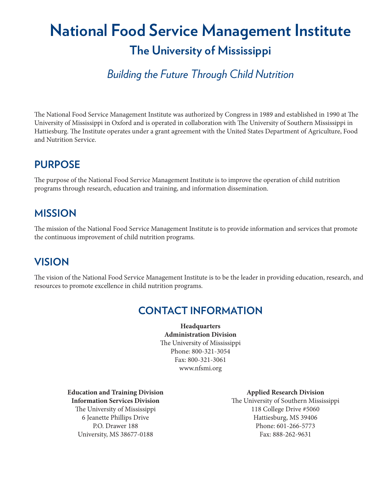# **National Food Service Management Institute The University of Mississippi**

# *Building the Future Through Child Nutrition*

The National Food Service Management Institute was authorized by Congress in 1989 and established in 1990 at The University of Mississippi in Oxford and is operated in collaboration with The University of Southern Mississippi in Hattiesburg. The Institute operates under a grant agreement with the United States Department of Agriculture, Food and Nutrition Service.

#### **PURPOSE**

The purpose of the National Food Service Management Institute is to improve the operation of child nutrition programs through research, education and training, and information dissemination.

#### **MISSION**

The mission of the National Food Service Management Institute is to provide information and services that promote the continuous improvement of child nutrition programs.

## **VISION**

The vision of the National Food Service Management Institute is to be the leader in providing education, research, and resources to promote excellence in child nutrition programs.

#### **CONTACT INFORMATION**

**Headquarters Administration Division** The University of Mississippi Phone: 800-321-3054 Fax: 800-321-3061 www.nfsmi.org

**Education and Training Division Information Services Division** The University of Mississippi 6 Jeanette Phillips Drive P.O. Drawer 188 University, MS 38677-0188

**Applied Research Division** The University of Southern Mississippi 118 College Drive #5060 Hattiesburg, MS 39406 Phone: 601-266-5773 Fax: 888-262-9631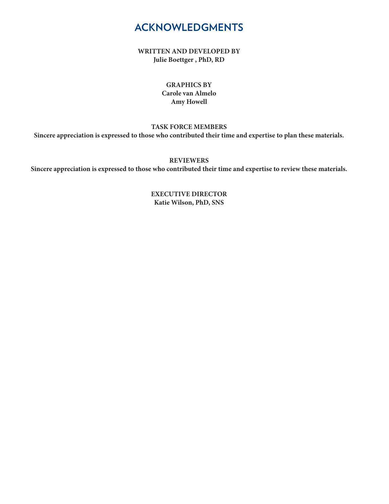#### **ACKNOWLEDGMENTS**

**WRITTEN AND DEVELOPED BY Julie Boettger , PhD, RD**

#### **GRAPHICS BY Carole van Almelo Amy Howell**

**TASK FORCE MEMBERS Sincere appreciation is expressed to those who contributed their time and expertise to plan these materials.**

**REVIEWERS**

**Sincere appreciation is expressed to those who contributed their time and expertise to review these materials.**

**EXECUTIVE DIRECTOR Katie Wilson, PhD, SNS**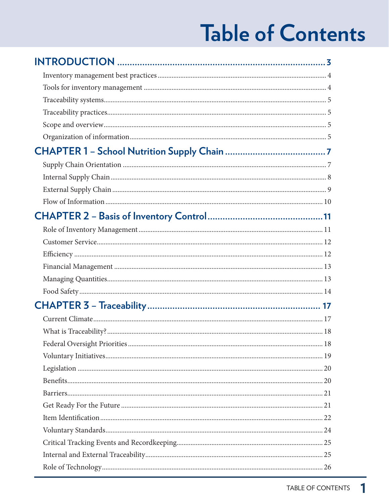# **Table of Contents**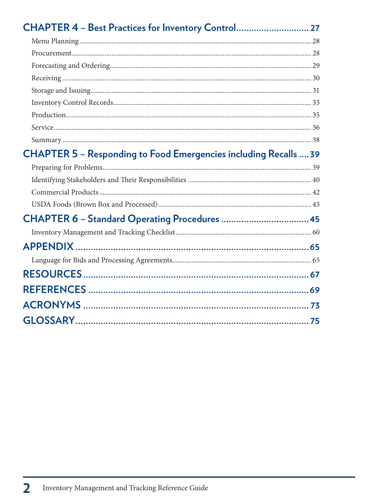| CHAPTER 5 - Responding to Food Emergencies including Recalls  39 |  |
|------------------------------------------------------------------|--|
|                                                                  |  |
|                                                                  |  |
|                                                                  |  |
|                                                                  |  |
| CHAPTER 6 - Standard Operating Procedures  45                    |  |
|                                                                  |  |
|                                                                  |  |
|                                                                  |  |
|                                                                  |  |
|                                                                  |  |
|                                                                  |  |
|                                                                  |  |
|                                                                  |  |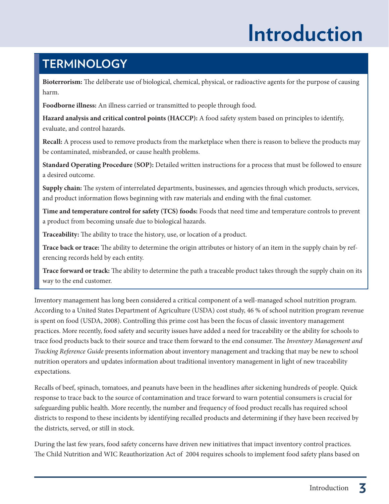# **Introduction**

# **TERMINOLOGY**

**Bioterrorism:** The deliberate use of biological, chemical, physical, or radioactive agents for the purpose of causing harm.

**Foodborne illness:** An illness carried or transmitted to people through food.

**Hazard analysis and critical control points (HACCP):** A food safety system based on principles to identify, evaluate, and control hazards.

**Recall:** A process used to remove products from the marketplace when there is reason to believe the products may be contaminated, misbranded, or cause health problems.

**Standard Operating Procedure (SOP):** Detailed written instructions for a process that must be followed to ensure a desired outcome.

**Supply chain:** The system of interrelated departments, businesses, and agencies through which products, services, and product information flows beginning with raw materials and ending with the final customer.

**Time and temperature control for safety (TCS) foods:** Foods that need time and temperature controls to prevent a product from becoming unsafe due to biological hazards.

**Traceability:** The ability to trace the history, use, or location of a product.

**Trace back or trace:** The ability to determine the origin attributes or history of an item in the supply chain by referencing records held by each entity.

**Trace forward or track:** The ability to determine the path a traceable product takes through the supply chain on its way to the end customer.

Inventory management has long been considered a critical component of a well-managed school nutrition program. According to a United States Department of Agriculture (USDA) cost study, 46 % of school nutrition program revenue is spent on food (USDA, 2008). Controlling this prime cost has been the focus of classic inventory management practices. More recently, food safety and security issues have added a need for traceability or the ability for schools to trace food products back to their source and trace them forward to the end consumer. The *Inventory Management and* Tracking Reference Guide presents information about inventory management and tracking that may be new to school nutrition operators and updates information about traditional inventory management in light of new traceability expectations.

Recalls of beef, spinach, tomatoes, and peanuts have been in the headlines after sickening hundreds of people. Quick response to trace back to the source of contamination and trace forward to warn potential consumers is crucial for safeguarding public health. More recently, the number and frequency of food product recalls has required school districts to respond to these incidents by identifying recalled products and determining if they have been received by the districts, served, or still in stock.

During the last few years, food safety concerns have driven new initiatives that impact inventory control practices. The Child Nutrition and WIC Reauthorization Act of 2004 requires schools to implement food safety plans based on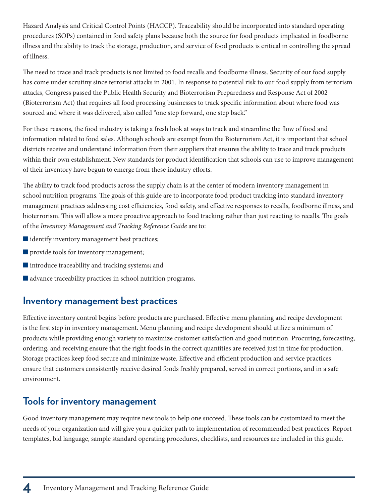Hazard Analysis and Critical Control Points (HACCP). Traceability should be incorporated into standard operating procedures (SOPs) contained in food safety plans because both the source for food products implicated in foodborne illness and the ability to track the storage, production, and service of food products is critical in controlling the spread of illness.

The need to trace and track products is not limited to food recalls and foodborne illness. Security of our food supply has come under scrutiny since terrorist attacks in 2001. In response to potential risk to our food supply from terrorism attacks, Congress passed the Public Health Security and Bioterrorism Preparedness and Response Act of 2002 (Bioterrorism Act) that requires all food processing businesses to track specific information about where food was sourced and where it was delivered, also called "one step forward, one step back."

For these reasons, the food industry is taking a fresh look at ways to track and streamline the flow of food and information related to food sales. Although schools are exempt from the Bioterrorism Act, it is important that school districts receive and understand information from their suppliers that ensures the ability to trace and track products within their own establishment. New standards for product identification that schools can use to improve management of their inventory have begun to emerge from these industry efforts.

The ability to track food products across the supply chain is at the center of modern inventory management in school nutrition programs. The goals of this guide are to incorporate food product tracking into standard inventory management practices addressing cost efficiencies, food safety, and effective responses to recalls, foodborne illness, and bioterrorism. This will allow a more proactive approach to food tracking rather than just reacting to recalls. The goals of the Inventory Management and Tracking Reference Guide are to:

- $\blacksquare$  identify inventory management best practices;
- $\blacksquare$  provide tools for inventory management;
- $\blacksquare$  introduce traceability and tracking systems; and
- $\blacksquare$  advance traceability practices in school nutrition programs.

#### **Inventory management best practices**

Effective inventory control begins before products are purchased. Effective menu planning and recipe development is the first step in inventory management. Menu planning and recipe development should utilize a minimum of products while providing enough variety to maximize customer satisfaction and good nutrition. Procuring, forecasting, ordering, and receiving ensure that the right foods in the correct quantities are received just in time for production. Storage practices keep food secure and minimize waste. Effective and efficient production and service practices ensure that customers consistently receive desired foods freshly prepared, served in correct portions, and in a safe environment.

#### **Tools for inventory management**

Good inventory management may require new tools to help one succeed. These tools can be customized to meet the needs of your organization and will give you a quicker path to implementation of recommended best practices. Report templates, bid language, sample standard operating procedures, checklists, and resources are included in this guide.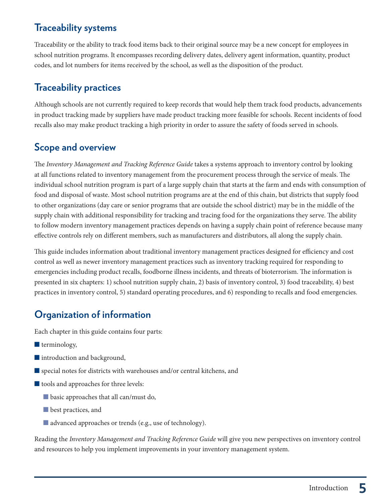#### **Traceability systems**

Traceability or the ability to track food items back to their original source may be a new concept for employees in school nutrition programs. It encompasses recording delivery dates, delivery agent information, quantity, product codes, and lot numbers for items received by the school, as well as the disposition of the product.

#### **Traceability practices**

Although schools are not currently required to keep records that would help them track food products, advancements in product tracking made by suppliers have made product tracking more feasible for schools. Recent incidents of food recalls also may make product tracking a high priority in order to assure the safety of foods served in schools.

### **Scope and overview**

The Inventory Management and Tracking Reference Guide takes a systems approach to inventory control by looking at all functions related to inventory management from the procurement process through the service of meals. The individual school nutrition program is part of a large supply chain that starts at the farm and ends with consumption of food and disposal of waste. Most school nutrition programs are at the end of this chain, but districts that supply food to other organizations (day care or senior programs that are outside the school district) may be in the middle of the supply chain with additional responsibility for tracking and tracing food for the organizations they serve. The ability to follow modern inventory management practices depends on having a supply chain point of reference because many effective controls rely on different members, such as manufacturers and distributors, all along the supply chain.

This guide includes information about traditional inventory management practices designed for efficiency and cost control as well as newer inventory management practices such as inventory tracking required for responding to emergencies including product recalls, foodborne illness incidents, and threats of bioterrorism. The information is presented in six chapters: 1) school nutrition supply chain, 2) basis of inventory control, 3) food traceability, 4) best practices in inventory control, 5) standard operating procedures, and 6) responding to recalls and food emergencies.

## **Organization of information**

Each chapter in this guide contains four parts:

- $\blacksquare$  terminology,
- $\blacksquare$  introduction and background,
- $\blacksquare$  special notes for districts with warehouses and/or central kitchens, and
- $\blacksquare$  tools and approaches for three levels:
	- $\blacksquare$  basic approaches that all can/must do,
	- $\blacksquare$  best practices, and
	- $\blacksquare$  advanced approaches or trends (e.g., use of technology).

Reading the Inventory Management and Tracking Reference Guide will give you new perspectives on inventory control and resources to help you implement improvements in your inventory management system.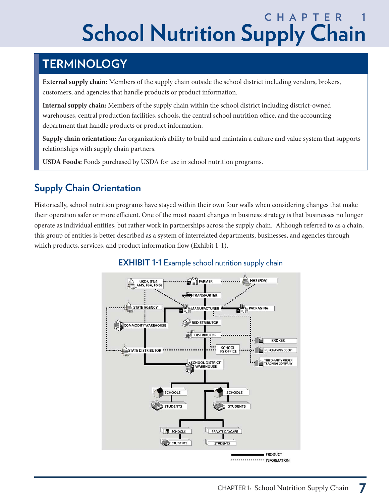# **CHAPTER School Nutrition Supply Chain**

# **TERMINOLOGY**

**External supply chain:** Members of the supply chain outside the school district including vendors, brokers, customers, and agencies that handle products or product information.

**Internal supply chain:** Members of the supply chain within the school district including district-owned warehouses, central production facilities, schools, the central school nutrition office, and the accounting department that handle products or product information.

**Supply chain orientation:** An organization's ability to build and maintain a culture and value system that supports relationships with supply chain partners.

**USDA Foods:** Foods purchased by USDA for use in school nutrition programs.

# **Supply Chain Orientation**

Historically, school nutrition programs have stayed within their own four walls when considering changes that make their operation safer or more efficient. One of the most recent changes in business strategy is that businesses no longer operate as individual entities, but rather work in partnerships across the supply chain. Although referred to as a chain, this group of entities is better described as a system of interrelated departments, businesses, and agencies through which products, services, and product information flow (Exhibit 1-1).



#### **EXHIBIT 1-1** Example school nutrition supply chain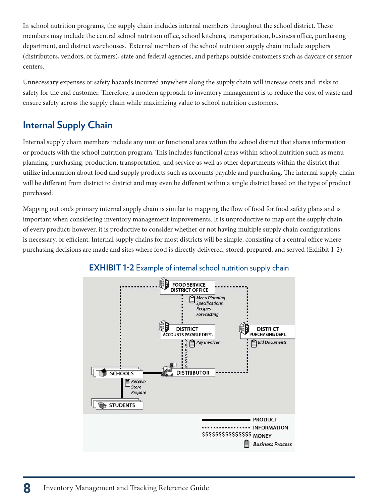In school nutrition programs, the supply chain includes internal members throughout the school district. These members may include the central school nutrition office, school kitchens, transportation, business office, purchasing department, and district warehouses. External members of the school nutrition supply chain include suppliers (distributors, vendors, or farmers), state and federal agencies, and perhaps outside customers such as daycare or senior centers.

Unnecessary expenses or safety hazards incurred anywhere along the supply chain will increase costs and risks to safety for the end customer. Therefore, a modern approach to inventory management is to reduce the cost of waste and ensure safety across the supply chain while maximizing value to school nutrition customers.

# **Internal Supply Chain**

Internal supply chain members include any unit or functional area within the school district that shares information or products with the school nutrition program. This includes functional areas within school nutrition such as menu planning, purchasing, production, transportation, and service as well as other departments within the district that utilize information about food and supply products such as accounts payable and purchasing. The internal supply chain will be different from district to district and may even be different within a single district based on the type of product purchased.

Mapping out one's primary internal supply chain is similar to mapping the flow of food for food safety plans and is important when considering inventory management improvements. It is unproductive to map out the supply chain of every product; however, it is productive to consider whether or not having multiple supply chain configurations is necessary, or efficient. Internal supply chains for most districts will be simple, consisting of a central office where purchasing decisions are made and sites where food is directly delivered, stored, prepared, and served (Exhibit 1-2).



#### **EXHIBIT 1-2** Example of internal school nutrition supply chain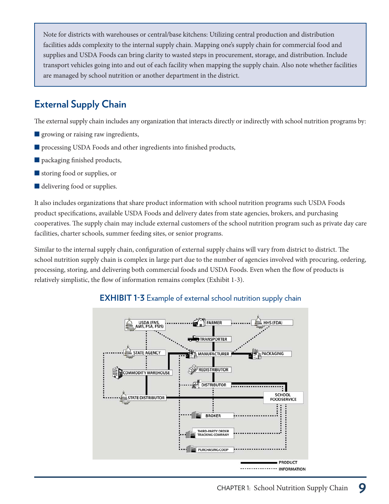Note for districts with warehouses or central/base kitchens: Utilizing central production and distribution facilities adds complexity to the internal supply chain. Mapping one's supply chain for commercial food and supplies and USDA Foods can bring clarity to wasted steps in procurement, storage, and distribution. Include transport vehicles going into and out of each facility when mapping the supply chain. Also note whether facilities are managed by school nutrition or another department in the district.

# **External Supply Chain**

The external supply chain includes any organization that interacts directly or indirectly with school nutrition programs by:

- **q** growing or raising raw ingredients,
- $\blacksquare$  processing USDA Foods and other ingredients into finished products,
- $\blacksquare$  packaging finished products,
- storing food or supplies, or
- $\blacksquare$  delivering food or supplies.

It also includes organizations that share product information with school nutrition programs such USDA Foods product specifications, available USDA Foods and delivery dates from state agencies, brokers, and purchasing cooperatives. The supply chain may include external customers of the school nutrition program such as private day care facilities, charter schools, summer feeding sites, or senior programs.

Similar to the internal supply chain, configuration of external supply chains will vary from district to district. The school nutrition supply chain is complex in large part due to the number of agencies involved with procuring, ordering, processing, storing, and delivering both commercial foods and USDA Foods. Even when the flow of products is relatively simplistic, the flow of information remains complex (Exhibit 1-3).



#### **EXHIBIT 1-3** Example of external school nutrition supply chain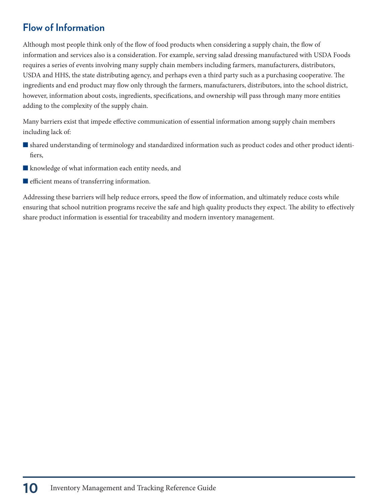#### **Flow of Information**

Although most people think only of the flow of food products when considering a supply chain, the flow of information and services also is a consideration. For example, serving salad dressing manufactured with USDA Foods requires a series of events involving many supply chain members including farmers, manufacturers, distributors, USDA and HHS, the state distributing agency, and perhaps even a third party such as a purchasing cooperative. The ingredients and end product may flow only through the farmers, manufacturers, distributors, into the school district, however, information about costs, ingredients, specifications, and ownership will pass through many more entities adding to the complexity of the supply chain.

Many barriers exist that impede effective communication of essential information among supply chain members including lack of:

- $\blacksquare$  shared understanding of terminology and standardized information such as product codes and other product identifiers,
- $\blacksquare$  knowledge of what information each entity needs, and
- $\blacksquare$  efficient means of transferring information.

Addressing these barriers will help reduce errors, speed the flow of information, and ultimately reduce costs while ensuring that school nutrition programs receive the safe and high quality products they expect. The ability to effectively share product information is essential for traceability and modern inventory management.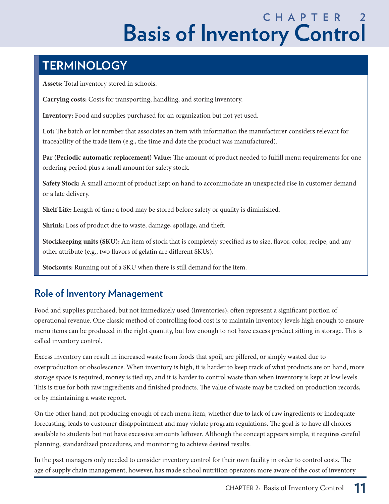# **C H A P T E R 2 Basis of Inventory Control**

# **TERMINOLOGY**

**Assets:** Total inventory stored in schools.

**Carrying costs:** Costs for transporting, handling, and storing inventory.

**Inventory:** Food and supplies purchased for an organization but not yet used.

**Lot:** The batch or lot number that associates an item with information the manufacturer considers relevant for traceability of the trade item (e.g., the time and date the product was manufactured).

**Par (Periodic automatic replacement) Value:** The amount of product needed to fulfill menu requirements for one ordering period plus a small amount for safety stock.

**Safety Stock:** A small amount of product kept on hand to accommodate an unexpected rise in customer demand or a late delivery.

**Shelf Life:** Length of time a food may be stored before safety or quality is diminished.

**Shrink:** Loss of product due to waste, damage, spoilage, and theft.

**Stockkeeping units (SKU):** An item of stock that is completely specified as to size, flavor, color, recipe, and any other attribute (e.g., two flavors of gelatin are different SKUs).

**Stockouts:** Running out of a SKU when there is still demand for the item.

## **Role of Inventory Management**

Food and supplies purchased, but not immediately used (inventories), often represent a significant portion of operational revenue. One classic method of controlling food cost is to maintain inventory levels high enough to ensure menu items can be produced in the right quantity, but low enough to not have excess product sitting in storage. This is called inventory control.

Excess inventory can result in increased waste from foods that spoil, are pilfered, or simply wasted due to overproduction or obsolescence. When inventory is high, it is harder to keep track of what products are on hand, more storage space is required, money is tied up, and it is harder to control waste than when inventory is kept at low levels. This is true for both raw ingredients and finished products. The value of waste may be tracked on production records, or by maintaining a waste report.

On the other hand, not producing enough of each menu item, whether due to lack of raw ingredients or inadequate forecasting, leads to customer disappointment and may violate program regulations. The goal is to have all choices available to students but not have excessive amounts leftover. Although the concept appears simple, it requires careful planning, standardized procedures, and monitoring to achieve desired results.

In the past managers only needed to consider inventory control for their own facility in order to control costs. The age of supply chain management, however, has made school nutrition operators more aware of the cost of inventory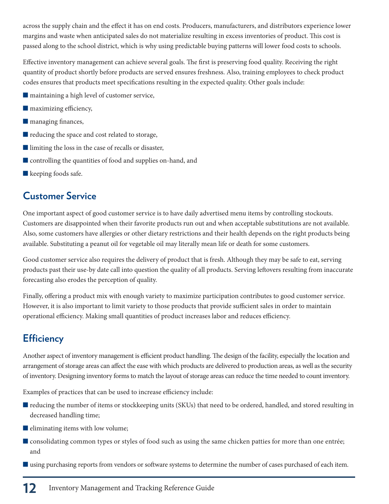across the supply chain and the effect it has on end costs. Producers, manufacturers, and distributors experience lower margins and waste when anticipated sales do not materialize resulting in excess inventories of product. This cost is passed along to the school district, which is why using predictable buying patterns will lower food costs to schools.

Effective inventory management can achieve several goals. The first is preserving food quality. Receiving the right quantity of product shortly before products are served ensures freshness. Also, training employees to check product codes ensures that products meet specifications resulting in the expected quality. Other goals include:

- $\blacksquare$  maintaining a high level of customer service,
- $\blacksquare$  maximizing efficiency,
- **nanaging finances,**
- $\blacksquare$  reducing the space and cost related to storage,
- $\blacksquare$  limiting the loss in the case of recalls or disaster,
- $\blacksquare$  controlling the quantities of food and supplies on-hand, and
- $\blacksquare$  keeping foods safe.

#### **Customer Service**

One important aspect of good customer service is to have daily advertised menu items by controlling stockouts. Customers are disappointed when their favorite products run out and when acceptable substitutions are not available. Also, some customers have allergies or other dietary restrictions and their health depends on the right products being available. Substituting a peanut oil for vegetable oil may literally mean life or death for some customers.

Good customer service also requires the delivery of product that is fresh. Although they may be safe to eat, serving products past their use-by date call into question the quality of all products. Serving leftovers resulting from inaccurate forecasting also erodes the perception of quality.

Finally, offering a product mix with enough variety to maximize participation contributes to good customer service. However, it is also important to limit variety to those products that provide sufficient sales in order to maintain operational efficiency. Making small quantities of product increases labor and reduces efficiency.

# **Efficiency**

Another aspect of inventory management is efficient product handling. The design of the facility, especially the location and arrangement of storage areas can affect the ease with which products are delivered to production areas, as well as the security of inventory. Designing inventory forms to match the layout of storage areas can reduce the time needed to count inventory.

Examples of practices that can be used to increase efficiency include:

- $\blacksquare$  reducing the number of items or stockkeeping units (SKUs) that need to be ordered, handled, and stored resulting in decreased handling time;
- $\blacksquare$  eliminating items with low volume;
- **Oconsolidating common types or styles of food such as using the same chicken patties for more than one entrée;** and
- Qusing purchasing reports from vendors or software systems to determine the number of cases purchased of each item.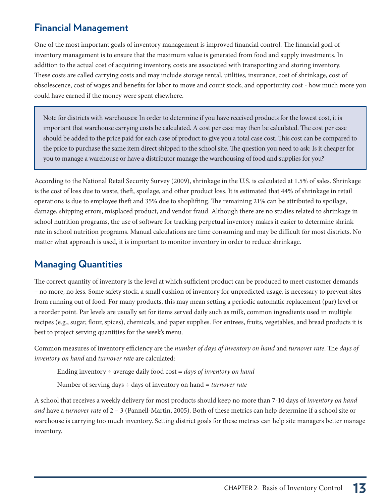#### **Financial Management**

One of the most important goals of inventory management is improved financial control. The financial goal of inventory management is to ensure that the maximum value is generated from food and supply investments. In addition to the actual cost of acquiring inventory, costs are associated with transporting and storing inventory. These costs are called carrying costs and may include storage rental, utilities, insurance, cost of shrinkage, cost of obsolescence, cost of wages and benefits for labor to move and count stock, and opportunity cost - how much more you could have earned if the money were spent elsewhere.

Note for districts with warehouses: In order to determine if you have received products for the lowest cost, it is important that warehouse carrying costs be calculated. A cost per case may then be calculated. The cost per case should be added to the price paid for each case of product to give you a total case cost. This cost can be compared to the price to purchase the same item direct shipped to the school site. The question you need to ask: Is it cheaper for you to manage a warehouse or have a distributor manage the warehousing of food and supplies for you?

According to the National Retail Security Survey (2009), shrinkage in the U.S. is calculated at 1.5% of sales. Shrinkage is the cost of loss due to waste, theft, spoilage, and other product loss. It is estimated that 44% of shrinkage in retail operations is due to employee theft and 35% due to shoplifting. The remaining 21% can be attributed to spoilage, damage, shipping errors, misplaced product, and vendor fraud. Although there are no studies related to shrinkage in school nutrition programs, the use of software for tracking perpetual inventory makes it easier to determine shrink rate in school nutrition programs. Manual calculations are time consuming and may be difficult for most districts. No matter what approach is used, it is important to monitor inventory in order to reduce shrinkage.

#### **Managing Quantities**

The correct quantity of inventory is the level at which sufficient product can be produced to meet customer demands – no more, no less. Some safety stock, a small cushion of inventory for unpredicted usage, is necessary to prevent sites from running out of food. For many products, this may mean setting a periodic automatic replacement (par) level or a reorder point. Par levels are usually set for items served daily such as milk, common ingredients used in multiple recipes (e.g., sugar, flour, spices), chemicals, and paper supplies. For entrees, fruits, vegetables, and bread products it is best to project serving quantities for the week's menu.

Common measures of inventory efficiency are the number of days of inventory on hand and turnover rate. The days of inventory on hand and turnover rate are calculated:

```
Ending inventory \div average daily food cost = days of inventory on hand
```
Number of serving days  $\div$  days of inventory on hand = *turnover rate* 

A school that receives a weekly delivery for most products should keep no more than 7-10 days of inventory on hand and have a turnover rate of  $2 - 3$  (Pannell-Martin, 2005). Both of these metrics can help determine if a school site or warehouse is carrying too much inventory. Setting district goals for these metrics can help site managers better manage inventory.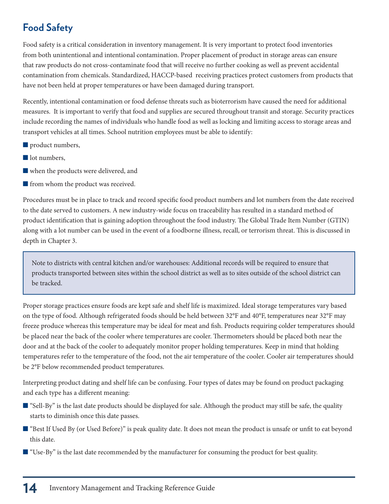# **Food Safety**

Food safety is a critical consideration in inventory management. It is very important to protect food inventories from both unintentional and intentional contamination. Proper placement of product in storage areas can ensure that raw products do not cross-contaminate food that will receive no further cooking as well as prevent accidental contamination from chemicals. Standardized, HACCP-based receiving practices protect customers from products that have not been held at proper temperatures or have been damaged during transport.

Recently, intentional contamination or food defense threats such as bioterrorism have caused the need for additional measures. It is important to verify that food and supplies are secured throughout transit and storage. Security practices include recording the names of individuals who handle food as well as locking and limiting access to storage areas and transport vehicles at all times. School nutrition employees must be able to identify:

- $\blacksquare$  product numbers,
- lot numbers,
- Qwhen the products were delivered, and
- $\blacksquare$  from whom the product was received.

Procedures must be in place to track and record specific food product numbers and lot numbers from the date received to the date served to customers. A new industry-wide focus on traceability has resulted in a standard method of product identification that is gaining adoption throughout the food industry. The Global Trade Item Number (GTIN) along with a lot number can be used in the event of a foodborne illness, recall, or terrorism threat. This is discussed in depth in Chapter 3.

Note to districts with central kitchen and/or warehouses: Additional records will be required to ensure that products transported between sites within the school district as well as to sites outside of the school district can be tracked.

Proper storage practices ensure foods are kept safe and shelf life is maximized. Ideal storage temperatures vary based on the type of food. Although refrigerated foods should be held between 32°F and 40°F, temperatures near 32°F may freeze produce whereas this temperature may be ideal for meat and fish. Products requiring colder temperatures should be placed near the back of the cooler where temperatures are cooler. Thermometers should be placed both near the door and at the back of the cooler to adequately monitor proper holding temperatures. Keep in mind that holding temperatures refer to the temperature of the food, not the air temperature of the cooler. Cooler air temperatures should be 2°F below recommended product temperatures.

Interpreting product dating and shelf life can be confusing. Four types of dates may be found on product packaging and each type has a different meaning:

- Q"Sell-By" is the last date products should be displayed for sale. Although the product may still be safe, the quality starts to diminish once this date passes.
- "Best If Used By (or Used Before)" is peak quality date. It does not mean the product is unsafe or unfit to eat beyond this date.
- $\blacksquare$  "Use-By" is the last date recommended by the manufacturer for consuming the product for best quality.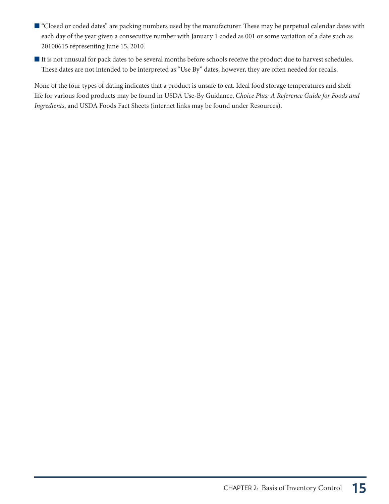- "Closed or coded dates" are packing numbers used by the manufacturer. These may be perpetual calendar dates with each day of the year given a consecutive number with January 1 coded as 001 or some variation of a date such as 20100615 representing June 15, 2010.
- It is not unusual for pack dates to be several months before schools receive the product due to harvest schedules. These dates are not intended to be interpreted as "Use By" dates; however, they are often needed for recalls.

None of the four types of dating indicates that a product is unsafe to eat. Ideal food storage temperatures and shelf life for various food products may be found in USDA Use-By Guidance, Choice Plus: A Reference Guide for Foods and Ingredients, and USDA Foods Fact Sheets (internet links may be found under Resources).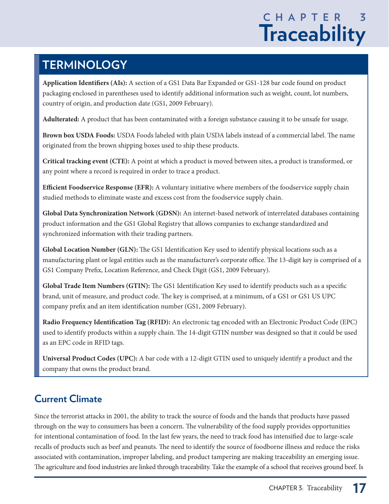# **C H A P T E R 3 Traceability**

# **TERMINOLOGY**

**Application Identifiers (AIs):** A section of a GS1 Data Bar Expanded or GS1-128 bar code found on product packaging enclosed in parentheses used to identify additional information such as weight, count, lot numbers, country of origin, and production date (GS1, 2009 February).

**Adulterated:** A product that has been contaminated with a foreign substance causing it to be unsafe for usage.

**Brown box USDA Foods:** USDA Foods labeled with plain USDA labels instead of a commercial label. The name originated from the brown shipping boxes used to ship these products.

**Critical tracking event (CTE):** A point at which a product is moved between sites, a product is transformed, or any point where a record is required in order to trace a product.

**Efficient Foodservice Response (EFR):** A voluntary initiative where members of the foodservice supply chain studied methods to eliminate waste and excess cost from the foodservice supply chain.

**Global Data Synchronization Network (GDSN):** An internet-based network of interrelated databases containing product information and the GS1 Global Registry that allows companies to exchange standardized and synchronized information with their trading partners.

**Global Location Number (GLN):** The GS1 Identification Key used to identify physical locations such as a manufacturing plant or legal entities such as the manufacturer's corporate office. The 13-digit key is comprised of a GS1 Company Prefix, Location Reference, and Check Digit (GS1, 2009 February).

**Global Trade Item Numbers (GTIN):** The GS1 Identification Key used to identify products such as a specific brand, unit of measure, and product code. The key is comprised, at a minimum, of a GS1 or GS1 US UPC company prefix and an item identification number (GS1, 2009 February).

**Radio Frequency Identification Tag (RFID):** An electronic tag encoded with an Electronic Product Code (EPC) used to identify products within a supply chain. The 14-digit GTIN number was designed so that it could be used as an EPC code in RFID tags.

**Universal Product Codes (UPC):** A bar code with a 12-digit GTIN used to uniquely identify a product and the company that owns the product brand.

# **Current Climate**

Since the terrorist attacks in 2001, the ability to track the source of foods and the hands that products have passed through on the way to consumers has been a concern. The vulnerability of the food supply provides opportunities for intentional contamination of food. In the last few years, the need to track food has intensified due to large-scale recalls of products such as beef and peanuts. The need to identify the source of foodborne illness and reduce the risks associated with contamination, improper labeling, and product tampering are making traceability an emerging issue. The agriculture and food industries are linked through traceability. Take the example of a school that receives ground beef. Is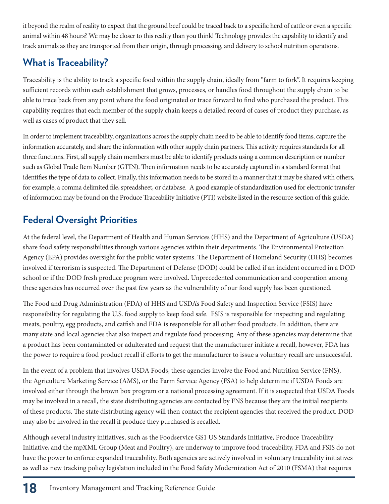it beyond the realm of reality to expect that the ground beef could be traced back to a specific herd of cattle or even a specific animal within 48 hours? We may be closer to this reality than you think! Technology provides the capability to identify and track animals as they are transported from their origin, through processing, and delivery to school nutrition operations.

# **What is Traceability?**

Traceability is the ability to track a specific food within the supply chain, ideally from "farm to fork". It requires keeping sufficient records within each establishment that grows, processes, or handles food throughout the supply chain to be able to trace back from any point where the food originated or trace forward to find who purchased the product. This capability requires that each member of the supply chain keeps a detailed record of cases of product they purchase, as well as cases of product that they sell.

In order to implement traceability, organizations across the supply chain need to be able to identify food items, capture the information accurately, and share the information with other supply chain partners. This activity requires standards for all three functions. First, all supply chain members must be able to identify products using a common description or number such as Global Trade Item Number (GTIN). Then information needs to be accurately captured in a standard format that identifies the type of data to collect. Finally, this information needs to be stored in a manner that it may be shared with others, for example, a comma delimited file, spreadsheet, or database. A good example of standardization used for electronic transfer of information may be found on the Produce Traceability Initiative (PTI) website listed in the resource section of this guide.

# **Federal Oversight Priorities**

At the federal level, the Department of Health and Human Services (HHS) and the Department of Agriculture (USDA) share food safety responsibilities through various agencies within their departments. The Environmental Protection Agency (EPA) provides oversight for the public water systems. The Department of Homeland Security (DHS) becomes involved if terrorism is suspected. The Department of Defense (DOD) could be called if an incident occurred in a DOD school or if the DOD fresh produce program were involved. Unprecedented communication and cooperation among these agencies has occurred over the past few years as the vulnerability of our food supply has been questioned.

The Food and Drug Administration (FDA) of HHS and USDA's Food Safety and Inspection Service (FSIS) have responsibility for regulating the U.S. food supply to keep food safe. FSIS is responsible for inspecting and regulating meats, poultry, egg products, and catfish and FDA is responsible for all other food products. In addition, there are many state and local agencies that also inspect and regulate food processing. Any of these agencies may determine that a product has been contaminated or adulterated and request that the manufacturer initiate a recall, however, FDA has the power to require a food product recall if efforts to get the manufacturer to issue a voluntary recall are unsuccessful.

In the event of a problem that involves USDA Foods, these agencies involve the Food and Nutrition Service (FNS), the Agriculture Marketing Service (AMS), or the Farm Service Agency (FSA) to help determine if USDA Foods are involved either through the brown box program or a national processing agreement. If it is suspected that USDA Foods may be involved in a recall, the state distributing agencies are contacted by FNS because they are the initial recipients of these products. The state distributing agency will then contact the recipient agencies that received the product. DOD may also be involved in the recall if produce they purchased is recalled.

Although several industry initiatives, such as the Foodservice GS1 US Standards Initiative, Produce Traceability Initiative, and the mpXML Group (Meat and Poultry), are underway to improve food traceability, FDA and FSIS do not have the power to enforce expanded traceability. Both agencies are actively involved in voluntary traceability initiatives as well as new tracking policy legislation included in the Food Safety Modernization Act of 2010 (FSMA) that requires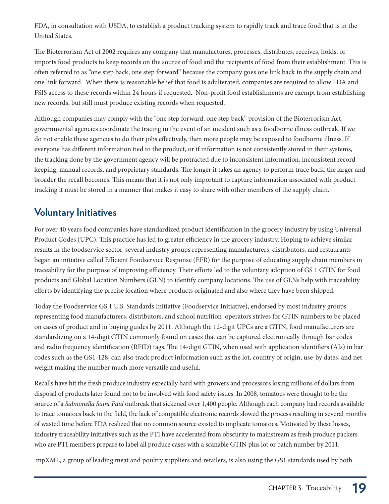FDA, in consultation with USDA, to establish a product tracking system to rapidly track and trace food that is in the United States.

The Bioterrorism Act of 2002 requires any company that manufactures, processes, distributes, receives, holds, or imports food products to keep records on the source of food and the recipients of food from their establishment. This is often referred to as "one step back, one step forward" because the company goes one link back in the supply chain and one link forward. When there is reasonable belief that food is adulterated, companies are required to allow FDA and FSIS access to these records within 24 hours if requested. Non-profit food establishments are exempt from establishing new records, but still must produce existing records when requested.

Although companies may comply with the "one step forward, one step back" provision of the Bioterrorism Act, governmental agencies coordinate the tracing in the event of an incident such as a foodborne illness outbreak. If we do not enable these agencies to do their jobs effectively, then more people may be exposed to foodborne illness. If everyone has different information tied to the product, or if information is not consistently stored in their systems, the tracking done by the government agency will be protracted due to inconsistent information, inconsistent record keeping, manual records, and proprietary standards. The longer it takes an agency to perform trace back, the larger and broader the recall becomes. This means that it is not only important to capture information associated with product tracking it must be stored in a manner that makes it easy to share with other members of the supply chain.

#### **Voluntary Initiatives**

For over 40 years food companies have standardized product identification in the grocery industry by using Universal Product Codes (UPC). This practice has led to greater efficiency in the grocery industry. Hoping to achieve similar results in the foodservice sector, several industry groups representing manufacturers, distributors, and restaurants began an initiative called Efficient Foodservice Response (EFR) for the purpose of educating supply chain members in traceability for the purpose of improving efficiency. Their efforts led to the voluntary adoption of GS 1 GTIN for food products and Global Location Numbers (GLN) to identify company locations. The use of GLNs help with traceability efforts by identifying the precise location where products originated and also where they have been shipped.

Today the Foodservice GS 1 U.S. Standards Initiative (Foodservice Initiative), endorsed by most industry groups representing food manufacturers, distributors, and school nutrition operators strives for GTIN numbers to be placed on cases of product and in buying guides by 2011. Although the 12-digit UPCs are a GTIN, food manufacturers are standardizing on a 14-digit GTIN commonly found on cases that can be captured electronically through bar codes and radio frequency identification (RFID) tags. The 14-digit GTIN, when used with application identifiers (AIs) in bar codes such as the GS1-128, can also track product information such as the lot, country of origin, use-by dates, and net weight making the number much more versatile and useful.

Recalls have hit the fresh produce industry especially hard with growers and processors losing millions of dollars from disposal of products later found not to be involved with food safety issues. In 2008, tomatoes were thought to be the source of a Salmonella Saint Paul outbreak that sickened over 1,400 people. Although each company had records available to trace tomatoes back to the field, the lack of compatible electronic records slowed the process resulting in several months of wasted time before FDA realized that no common source existed to implicate tomatoes. Motivated by these losses, industry traceability initiatives such as the PTI have accelerated from obscurity to mainstream as fresh produce packers who are PTI members prepare to label all produce cases with a scanable GTIN plus lot or batch number by 2011.

mpXML, a group of leading meat and poultry suppliers and retailers, is also using the GS1 standards used by both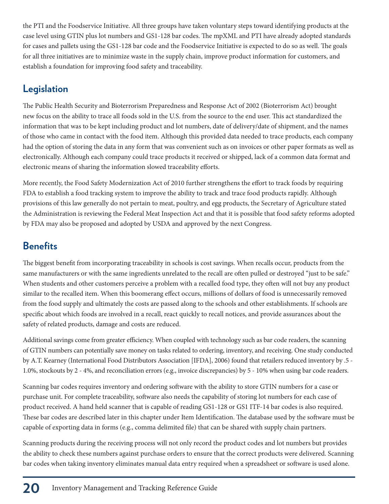the PTI and the Foodservice Initiative. All three groups have taken voluntary steps toward identifying products at the case level using GTIN plus lot numbers and GS1-128 bar codes. The mpXML and PTI have already adopted standards for cases and pallets using the GS1-128 bar code and the Foodservice Initiative is expected to do so as well. The goals for all three initiatives are to minimize waste in the supply chain, improve product information for customers, and establish a foundation for improving food safety and traceability.

#### **Legislation**

The Public Health Security and Bioterrorism Preparedness and Response Act of 2002 (Bioterrorism Act) brought new focus on the ability to trace all foods sold in the U.S. from the source to the end user. This act standardized the information that was to be kept including product and lot numbers, date of delivery/date of shipment, and the names of those who came in contact with the food item. Although this provided data needed to trace products, each company had the option of storing the data in any form that was convenient such as on invoices or other paper formats as well as electronically. Although each company could trace products it received or shipped, lack of a common data format and electronic means of sharing the information slowed traceability efforts.

More recently, the Food Safety Modernization Act of 2010 further strengthens the effort to track foods by requiring FDA to establish a food tracking system to improve the ability to track and trace food products rapidly. Although provisions of this law generally do not pertain to meat, poultry, and egg products, the Secretary of Agriculture stated the Administration is reviewing the Federal Meat Inspection Act and that it is possible that food safety reforms adopted by FDA may also be proposed and adopted by USDA and approved by the next Congress.

#### **Benefits**

The biggest benefit from incorporating traceability in schools is cost savings. When recalls occur, products from the same manufacturers or with the same ingredients unrelated to the recall are often pulled or destroyed "just to be safe." When students and other customers perceive a problem with a recalled food type, they often will not buy any product similar to the recalled item. When this boomerang effect occurs, millions of dollars of food is unnecessarily removed from the food supply and ultimately the costs are passed along to the schools and other establishments. If schools are specific about which foods are involved in a recall, react quickly to recall notices, and provide assurances about the safety of related products, damage and costs are reduced.

Additional savings come from greater efficiency. When coupled with technology such as bar code readers, the scanning of GTIN numbers can potentially save money on tasks related to ordering, inventory, and receiving. One study conducted by A.T. Kearney (International Food Distributors Association [IFDA], 2006) found that retailers reduced inventory by .5 - 1.0%, stockouts by 2 - 4%, and reconciliation errors (e.g., invoice discrepancies) by 5 - 10% when using bar code readers.

Scanning bar codes requires inventory and ordering software with the ability to store GTIN numbers for a case or purchase unit. For complete traceability, software also needs the capability of storing lot numbers for each case of product received. A hand held scanner that is capable of reading GS1-128 or GS1 ITF-14 bar codes is also required. These bar codes are described later in this chapter under Item Identification. The database used by the software must be capable of exporting data in forms (e.g., comma delimited file) that can be shared with supply chain partners.

Scanning products during the receiving process will not only record the product codes and lot numbers but provides the ability to check these numbers against purchase orders to ensure that the correct products were delivered. Scanning bar codes when taking inventory eliminates manual data entry required when a spreadsheet or software is used alone.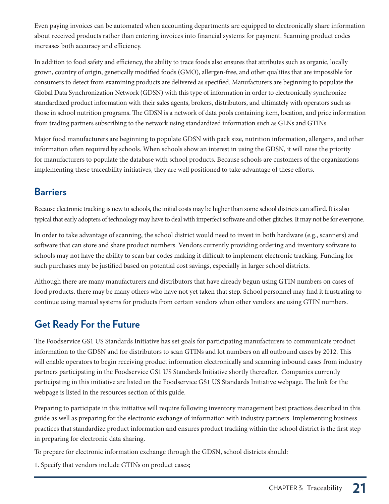Even paying invoices can be automated when accounting departments are equipped to electronically share information about received products rather than entering invoices into financial systems for payment. Scanning product codes increases both accuracy and efficiency.

In addition to food safety and efficiency, the ability to trace foods also ensures that attributes such as organic, locally grown, country of origin, genetically modified foods (GMO), allergen-free, and other qualities that are impossible for consumers to detect from examining products are delivered as specified. Manufacturers are beginning to populate the Global Data Synchronization Network (GDSN) with this type of information in order to electronically synchronize standardized product information with their sales agents, brokers, distributors, and ultimately with operators such as those in school nutrition programs. The GDSN is a network of data pools containing item, location, and price information from trading partners subscribing to the network using standardized information such as GLNs and GTINs.

Major food manufacturers are beginning to populate GDSN with pack size, nutrition information, allergens, and other information often required by schools. When schools show an interest in using the GDSN, it will raise the priority for manufacturers to populate the database with school products. Because schools are customers of the organizations implementing these traceability initiatives, they are well positioned to take advantage of these efforts.

#### **Barriers**

Because electronic tracking is new to schools, the initial costs may be higher than some school districts can afford. It is also typical that early adopters of technology may have to deal with imperfect software and other glitches. It may not be for everyone.

In order to take advantage of scanning, the school district would need to invest in both hardware (e.g., scanners) and software that can store and share product numbers. Vendors currently providing ordering and inventory software to schools may not have the ability to scan bar codes making it difficult to implement electronic tracking. Funding for such purchases may be justified based on potential cost savings, especially in larger school districts.

Although there are many manufacturers and distributors that have already begun using GTIN numbers on cases of food products, there may be many others who have not yet taken that step. School personnel may find it frustrating to continue using manual systems for products from certain vendors when other vendors are using GTIN numbers.

## **Get Ready For the Future**

The Foodservice GS1 US Standards Initiative has set goals for participating manufacturers to communicate product information to the GDSN and for distributors to scan GTINs and lot numbers on all outbound cases by 2012. This will enable operators to begin receiving product information electronically and scanning inbound cases from industry partners participating in the Foodservice GS1 US Standards Initiative shortly thereafter. Companies currently participating in this initiative are listed on the Foodservice GS1 US Standards Initiative webpage. The link for the webpage is listed in the resources section of this guide.

Preparing to participate in this initiative will require following inventory management best practices described in this guide as well as preparing for the electronic exchange of information with industry partners. Implementing business practices that standardize product information and ensures product tracking within the school district is the first step in preparing for electronic data sharing.

To prepare for electronic information exchange through the GDSN, school districts should:

1. Specify that vendors include GTINs on product cases;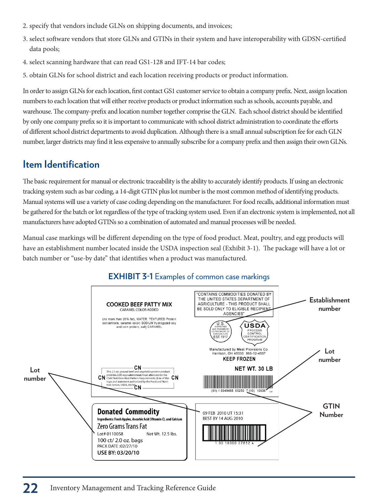- 2. specify that vendors include GLNs on shipping documents, and invoices;
- 3. select software vendors that store GLNs and GTINs in their system and have interoperability with GDSN-certified data pools;
- 4. select scanning hardware that can read GS1-128 and IFT-14 bar codes;
- 5. obtain GLNs for school district and each location receiving products or product information.

In order to assign GLNs for each location, first contact GS1 customer service to obtain a company prefix. Next, assign location numbers to each location that will either receive products or product information such as schools, accounts payable, and warehouse. The company-prefix and location number together comprise the GLN. Each school district should be identified by only one company prefix so it is important to communicate with school district administration to coordinate the efforts of different school district departments to avoid duplication. Although there is a small annual subscription fee for each GLN number, larger districts may find it less expensive to annually subscribe for a company prefix and then assign their own GLNs.

#### **Item Identification**

The basic requirement for manual or electronic traceability is the ability to accurately identify products. If using an electronic tracking system such as bar coding, a 14-digit GTIN plus lot number is the most common method of identifying products. Manual systems will use a variety of case coding depending on the manufacturer. For food recalls, additional information must be gathered for the batch or lot regardless of the type of tracking system used. Even if an electronic system is implemented, not all manufacturers have adopted GTINs so a combination of automated and manual processes will be needed.

Manual case markings will be different depending on the type of food product. Meat, poultry, and egg products will have an establishment number located inside the USDA inspection seal (Exhibit 3-1). The package will have a lot or batch number or "use-by date" that identifies when a product was manufactured.



#### **EXHIBIT 3-1** Examples of common case markings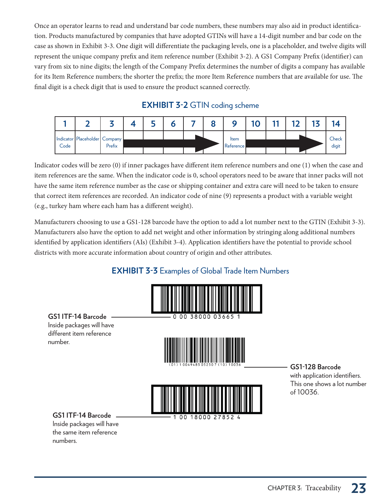Once an operator learns to read and understand bar code numbers, these numbers may also aid in product identification. Products manufactured by companies that have adopted GTINs will have a 14-digit number and bar code on the case as shown in Exhibit 3-3. One digit will differentiate the packaging levels, one is a placeholder, and twelve digits will represent the unique company prefix and item reference number (Exhibit 3-2). A GS1 Company Prefix (identifier) can vary from six to nine digits; the length of the Company Prefix determines the number of digits a company has available for its Item Reference numbers; the shorter the prefix; the more Item Reference numbers that are available for use. The final digit is a check digit that is used to ensure the product scanned correctly.

#### **EXHIBIT 3-2** GTIN coding scheme



Indicator codes will be zero (0) if inner packages have different item reference numbers and one (1) when the case and item references are the same. When the indicator code is 0, school operators need to be aware that inner packs will not have the same item reference number as the case or shipping container and extra care will need to be taken to ensure that correct item references are recorded. An indicator code of nine (9) represents a product with a variable weight (e.g., turkey ham where each ham has a different weight).

Manufacturers choosing to use a GS1-128 barcode have the option to add a lot number next to the GTIN (Exhibit 3-3). Manufacturers also have the option to add net weight and other information by stringing along additional numbers identified by application identifiers (AIs) (Exhibit 3-4). Application identifiers have the potential to provide school districts with more accurate information about country of origin and other attributes.

#### **EXHIBIT 3-3** Examples of Global Trade Item Numbers



**GS1 ITF-14 Barcode**  Inside packages will have different item reference number.





**GS1 ITF-14 Barcode** 

Inside packages will have the same item reference numbers.

**GS1-128 Barcode**  with application identifiers. This one shows a lot number of 10036.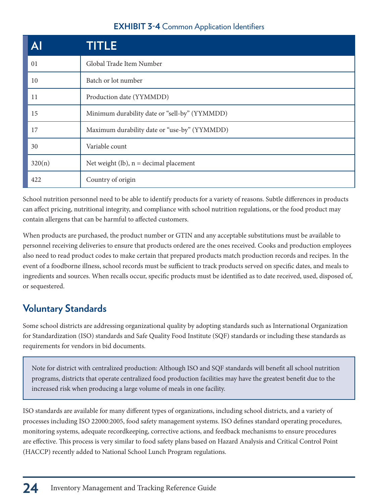#### **EXHIBIT 3-4** Common Application Identifiers

| Al     | TITLE                                         |
|--------|-----------------------------------------------|
| 01     | Global Trade Item Number                      |
| 10     | Batch or lot number                           |
| 11     | Production date (YYMMDD)                      |
| 15     | Minimum durability date or "sell-by" (YYMMDD) |
| 17     | Maximum durability date or "use-by" (YYMMDD)  |
| 30     | Variable count                                |
| 320(n) | Net weight (lb), $n =$ decimal placement      |
| 422    | Country of origin                             |

School nutrition personnel need to be able to identify products for a variety of reasons. Subtle differences in products can affect pricing, nutritional integrity, and compliance with school nutrition regulations, or the food product may contain allergens that can be harmful to affected customers.

When products are purchased, the product number or GTIN and any acceptable substitutions must be available to personnel receiving deliveries to ensure that products ordered are the ones received. Cooks and production employees also need to read product codes to make certain that prepared products match production records and recipes. In the event of a foodborne illness, school records must be sufficient to track products served on specific dates, and meals to ingredients and sources. When recalls occur, specific products must be identified as to date received, used, disposed of, or sequestered.

#### **Voluntary Standards**

Some school districts are addressing organizational quality by adopting standards such as International Organization for Standardization (ISO) standards and Safe Quality Food Institute (SQF) standards or including these standards as requirements for vendors in bid documents.

Note for district with centralized production: Although ISO and SQF standards will benefit all school nutrition programs, districts that operate centralized food production facilities may have the greatest benefit due to the increased risk when producing a large volume of meals in one facility.

ISO standards are available for many different types of organizations, including school districts, and a variety of processes including ISO 22000:2005, food safety management systems. ISO defines standard operating procedures, monitoring systems, adequate recordkeeping, corrective actions, and feedback mechanisms to ensure procedures are effective. This process is very similar to food safety plans based on Hazard Analysis and Critical Control Point (HACCP) recently added to National School Lunch Program regulations.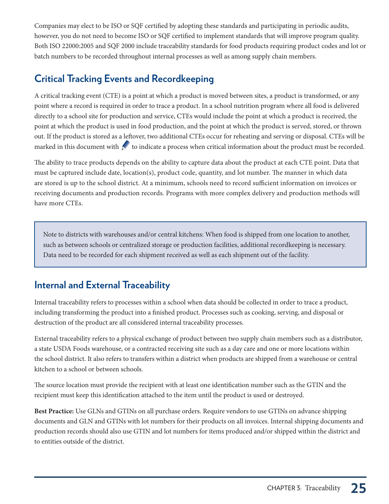Companies may elect to be ISO or SQF certified by adopting these standards and participating in periodic audits, however, you do not need to become ISO or SQF certified to implement standards that will improve program quality. Both ISO 22000:2005 and SQF 2000 include traceability standards for food products requiring product codes and lot or batch numbers to be recorded throughout internal processes as well as among supply chain members.

#### **Critical Tracking Events and Recordkeeping**

A critical tracking event (CTE) is a point at which a product is moved between sites, a product is transformed, or any point where a record is required in order to trace a product. In a school nutrition program where all food is delivered directly to a school site for production and service, CTEs would include the point at which a product is received, the point at which the product is used in food production, and the point at which the product is served, stored, or thrown out. If the product is stored as a leftover, two additional CTEs occur for reheating and serving or disposal. CTEs will be marked in this document with  $\mathcal I$  to indicate a process when critical information about the product must be recorded.

The ability to trace products depends on the ability to capture data about the product at each CTE point. Data that must be captured include date, location(s), product code, quantity, and lot number. The manner in which data are stored is up to the school district. At a minimum, schools need to record sufficient information on invoices or receiving documents and production records. Programs with more complex delivery and production methods will have more CTEs.

Note to districts with warehouses and/or central kitchens: When food is shipped from one location to another, such as between schools or centralized storage or production facilities, additional recordkeeping is necessary. Data need to be recorded for each shipment received as well as each shipment out of the facility.

#### **Internal and External Traceability**

Internal traceability refers to processes within a school when data should be collected in order to trace a product, including transforming the product into a finished product. Processes such as cooking, serving, and disposal or destruction of the product are all considered internal traceability processes.

External traceability refers to a physical exchange of product between two supply chain members such as a distributor, a state USDA Foods warehouse, or a contracted receiving site such as a day care and one or more locations within the school district. It also refers to transfers within a district when products are shipped from a warehouse or central kitchen to a school or between schools.

The source location must provide the recipient with at least one identification number such as the GTIN and the recipient must keep this identification attached to the item until the product is used or destroyed.

**Best Practice:** Use GLNs and GTINs on all purchase orders. Require vendors to use GTINs on advance shipping documents and GLN and GTINs with lot numbers for their products on all invoices. Internal shipping documents and production records should also use GTIN and lot numbers for items produced and/or shipped within the district and to entities outside of the district.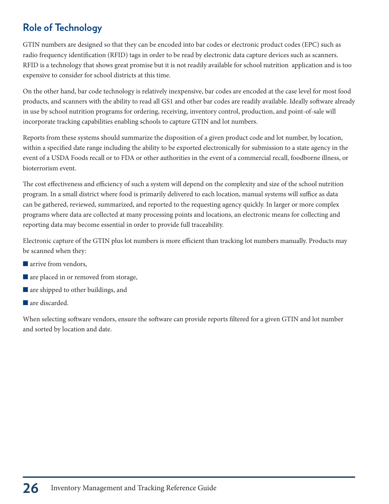## **Role of Technology**

GTIN numbers are designed so that they can be encoded into bar codes or electronic product codes (EPC) such as radio frequency identification (RFID) tags in order to be read by electronic data capture devices such as scanners. RFID is a technology that shows great promise but it is not readily available for school nutrition application and is too expensive to consider for school districts at this time.

On the other hand, bar code technology is relatively inexpensive, bar codes are encoded at the case level for most food products, and scanners with the ability to read all GS1 and other bar codes are readily available. Ideally software already in use by school nutrition programs for ordering, receiving, inventory control, production, and point-of-sale will incorporate tracking capabilities enabling schools to capture GTIN and lot numbers.

Reports from these systems should summarize the disposition of a given product code and lot number, by location, within a specified date range including the ability to be exported electronically for submission to a state agency in the event of a USDA Foods recall or to FDA or other authorities in the event of a commercial recall, foodborne illness, or bioterrorism event.

The cost effectiveness and efficiency of such a system will depend on the complexity and size of the school nutrition program. In a small district where food is primarily delivered to each location, manual systems will suffice as data can be gathered, reviewed, summarized, and reported to the requesting agency quickly. In larger or more complex programs where data are collected at many processing points and locations, an electronic means for collecting and reporting data may become essential in order to provide full traceability.

Electronic capture of the GTIN plus lot numbers is more efficient than tracking lot numbers manually. Products may be scanned when they:

- $\blacksquare$  arrive from vendors,
- $\blacksquare$  are placed in or removed from storage,
- $\blacksquare$  are shipped to other buildings, and
- $\blacksquare$  are discarded.

When selecting software vendors, ensure the software can provide reports filtered for a given GTIN and lot number and sorted by location and date.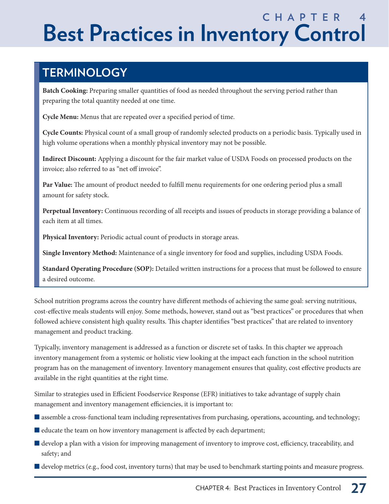# **C H A P T E R 4 Best Practices in Inventory Control**

# **TERMINOLOGY**

**Batch Cooking:** Preparing smaller quantities of food as needed throughout the serving period rather than preparing the total quantity needed at one time.

**Cycle Menu:** Menus that are repeated over a specified period of time.

**Cycle Counts:** Physical count of a small group of randomly selected products on a periodic basis. Typically used in high volume operations when a monthly physical inventory may not be possible.

**Indirect Discount:** Applying a discount for the fair market value of USDA Foods on processed products on the invoice; also referred to as "net off invoice".

**Par Value:** The amount of product needed to fulfill menu requirements for one ordering period plus a small amount for safety stock.

**Perpetual Inventory:** Continuous recording of all receipts and issues of products in storage providing a balance of each item at all times.

**Physical Inventory:** Periodic actual count of products in storage areas.

**Single Inventory Method:** Maintenance of a single inventory for food and supplies, including USDA Foods.

**Standard Operating Procedure (SOP):** Detailed written instructions for a process that must be followed to ensure a desired outcome.

School nutrition programs across the country have different methods of achieving the same goal: serving nutritious, cost-effective meals students will enjoy. Some methods, however, stand out as "best practices" or procedures that when followed achieve consistent high quality results. This chapter identifies "best practices" that are related to inventory management and product tracking.

Typically, inventory management is addressed as a function or discrete set of tasks. In this chapter we approach inventory management from a systemic or holistic view looking at the impact each function in the school nutrition program has on the management of inventory. Inventory management ensures that quality, cost effective products are available in the right quantities at the right time.

Similar to strategies used in Efficient Foodservice Response (EFR) initiatives to take advantage of supply chain management and inventory management efficiencies, it is important to:

- $\blacksquare$  assemble a cross-functional team including representatives from purchasing, operations, accounting, and technology;
- $\blacksquare$  educate the team on how inventory management is affected by each department;
- $\blacksquare$  develop a plan with a vision for improving management of inventory to improve cost, efficiency, traceability, and safety; and
- $\blacksquare$  develop metrics (e.g., food cost, inventory turns) that may be used to benchmark starting points and measure progress.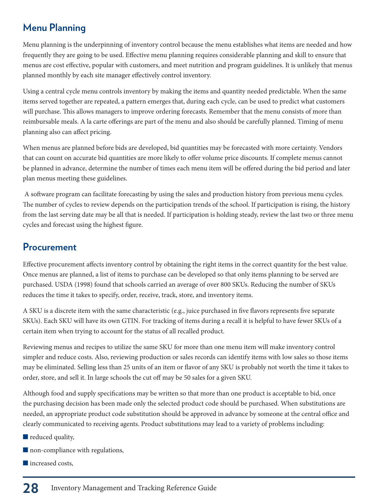#### **Menu Planning**

Menu planning is the underpinning of inventory control because the menu establishes what items are needed and how frequently they are going to be used. Effective menu planning requires considerable planning and skill to ensure that menus are cost effective, popular with customers, and meet nutrition and program guidelines. It is unlikely that menus planned monthly by each site manager effectively control inventory.

Using a central cycle menu controls inventory by making the items and quantity needed predictable. When the same items served together are repeated, a pattern emerges that, during each cycle, can be used to predict what customers will purchase. This allows managers to improve ordering forecasts. Remember that the menu consists of more than reimbursable meals. A la carte offerings are part of the menu and also should be carefully planned. Timing of menu planning also can affect pricing.

When menus are planned before bids are developed, bid quantities may be forecasted with more certainty. Vendors that can count on accurate bid quantities are more likely to offer volume price discounts. If complete menus cannot be planned in advance, determine the number of times each menu item will be offered during the bid period and later plan menus meeting these guidelines.

 A software program can facilitate forecasting by using the sales and production history from previous menu cycles. The number of cycles to review depends on the participation trends of the school. If participation is rising, the history from the last serving date may be all that is needed. If participation is holding steady, review the last two or three menu cycles and forecast using the highest figure.

#### **Procurement**

Effective procurement affects inventory control by obtaining the right items in the correct quantity for the best value. Once menus are planned, a list of items to purchase can be developed so that only items planning to be served are purchased. USDA (1998) found that schools carried an average of over 800 SKUs. Reducing the number of SKUs reduces the time it takes to specify, order, receive, track, store, and inventory items.

A SKU is a discrete item with the same characteristic (e.g., juice purchased in five flavors represents five separate SKUs). Each SKU will have its own GTIN. For tracking of items during a recall it is helpful to have fewer SKUs of a certain item when trying to account for the status of all recalled product.

Reviewing menus and recipes to utilize the same SKU for more than one menu item will make inventory control simpler and reduce costs. Also, reviewing production or sales records can identify items with low sales so those items may be eliminated. Selling less than 25 units of an item or flavor of any SKU is probably not worth the time it takes to order, store, and sell it. In large schools the cut off may be 50 sales for a given SKU.

Although food and supply specifications may be written so that more than one product is acceptable to bid, once the purchasing decision has been made only the selected product code should be purchased. When substitutions are needed, an appropriate product code substitution should be approved in advance by someone at the central office and clearly communicated to receiving agents. Product substitutions may lead to a variety of problems including:

- $\blacksquare$  reduced quality,
- $\blacksquare$  non-compliance with regulations,
- **n** increased costs,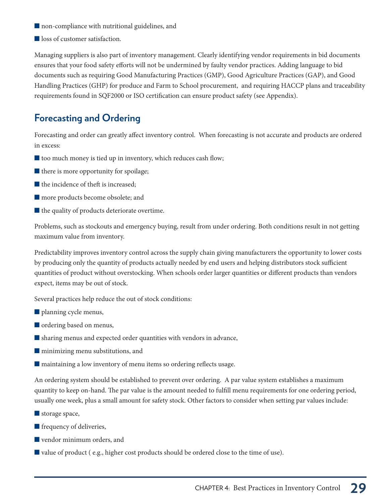- $\blacksquare$  non-compliance with nutritional guidelines, and
- loss of customer satisfaction.

Managing suppliers is also part of inventory management. Clearly identifying vendor requirements in bid documents ensures that your food safety efforts will not be undermined by faulty vendor practices. Adding language to bid documents such as requiring Good Manufacturing Practices (GMP), Good Agriculture Practices (GAP), and Good Handling Practices (GHP) for produce and Farm to School procurement, and requiring HACCP plans and traceability requirements found in SQF2000 or ISO certification can ensure product safety (see Appendix).

#### **Forecasting and Ordering**

Forecasting and order can greatly affect inventory control. When forecasting is not accurate and products are ordered in excess:

- $\blacksquare$  too much money is tied up in inventory, which reduces cash flow;
- $\blacksquare$  there is more opportunity for spoilage;
- $\blacksquare$  the incidence of theft is increased;
- **n** more products become obsolete; and
- $\blacksquare$  the quality of products deteriorate overtime.

Problems, such as stockouts and emergency buying, result from under ordering. Both conditions result in not getting maximum value from inventory.

Predictability improves inventory control across the supply chain giving manufacturers the opportunity to lower costs by producing only the quantity of products actually needed by end users and helping distributors stock sufficient quantities of product without overstocking. When schools order larger quantities or different products than vendors expect, items may be out of stock.

Several practices help reduce the out of stock conditions:

- $\blacksquare$  planning cycle menus,
- ordering based on menus,
- $\blacksquare$  sharing menus and expected order quantities with vendors in advance,
- $\blacksquare$  minimizing menu substitutions, and
- $\blacksquare$  maintaining a low inventory of menu items so ordering reflects usage.

An ordering system should be established to prevent over ordering. A par value system establishes a maximum quantity to keep on-hand. The par value is the amount needed to fulfill menu requirements for one ordering period, usually one week, plus a small amount for safety stock. Other factors to consider when setting par values include:

- $\blacksquare$  storage space,
- $\blacksquare$  frequency of deliveries,
- $\blacksquare$  vendor minimum orders, and
- Qvalue of product ( e.g., higher cost products should be ordered close to the time of use).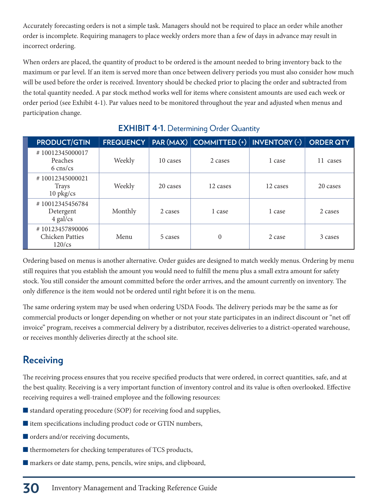Accurately forecasting orders is not a simple task. Managers should not be required to place an order while another order is incomplete. Requiring managers to place weekly orders more than a few of days in advance may result in incorrect ordering.

When orders are placed, the quantity of product to be ordered is the amount needed to bring inventory back to the maximum or par level. If an item is served more than once between delivery periods you must also consider how much will be used before the order is received. Inventory should be checked prior to placing the order and subtracted from the total quantity needed. A par stock method works well for items where consistent amounts are used each week or order period (see Exhibit 4-1). Par values need to be monitored throughout the year and adjusted when menus and participation change.

| <b>PRODUCT/GTIN</b>                                    | <b>FREQUENCY</b> |          | PAR (MAX) COMMITTED (+) INVENTORY (-) |          | <b>ORDER QTY</b> |
|--------------------------------------------------------|------------------|----------|---------------------------------------|----------|------------------|
| #10012345000017<br>Peaches<br>$6 \text{ cms/cs}$       | Weekly           | 10 cases | 2 cases                               | 1 case   | 11<br>cases      |
| #10012345000021<br><b>Trays</b><br>$10$ pkg/cs         | Weekly           | 20 cases | 12 cases                              | 12 cases | 20 cases         |
| #10012345456784<br>Detergent<br>$4$ gal/cs             | Monthly          | 2 cases  | 1 case                                | 1 case   | 2 cases          |
| #10123457890006<br><b>Chicken Patties</b><br>$120$ /cs | Menu             | 5 cases  | $\overline{0}$                        | 2 case   | 3 cases          |

#### **EXHIBIT 4-1.** Determining Order Quantity

Ordering based on menus is another alternative. Order guides are designed to match weekly menus. Ordering by menu still requires that you establish the amount you would need to fulfill the menu plus a small extra amount for safety stock. You still consider the amount committed before the order arrives, and the amount currently on inventory. The only difference is the item would not be ordered until right before it is on the menu.

The same ordering system may be used when ordering USDA Foods. The delivery periods may be the same as for commercial products or longer depending on whether or not your state participates in an indirect discount or "net off invoice" program, receives a commercial delivery by a distributor, receives deliveries to a district-operated warehouse, or receives monthly deliveries directly at the school site.

#### **Receiving**

The receiving process ensures that you receive specified products that were ordered, in correct quantities, safe, and at the best quality. Receiving is a very important function of inventory control and its value is often overlooked. Effective receiving requires a well-trained employee and the following resources:

- $\blacksquare$  standard operating procedure (SOP) for receiving food and supplies,
- $\blacksquare$  item specifications including product code or GTIN numbers,
- $\blacksquare$  orders and/or receiving documents,
- $\blacksquare$  thermometers for checking temperatures of TCS products,
- $\blacksquare$  markers or date stamp, pens, pencils, wire snips, and clipboard,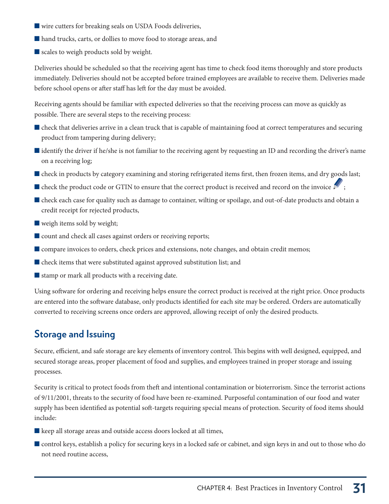- $\blacksquare$  wire cutters for breaking seals on USDA Foods deliveries,
- $\blacksquare$  hand trucks, carts, or dollies to move food to storage areas, and
- $\blacksquare$  scales to weigh products sold by weight.

Deliveries should be scheduled so that the receiving agent has time to check food items thoroughly and store products immediately. Deliveries should not be accepted before trained employees are available to receive them. Deliveries made before school opens or after staff has left for the day must be avoided.

Receiving agents should be familiar with expected deliveries so that the receiving process can move as quickly as possible. There are several steps to the receiving process:

- $\blacksquare$  check that deliveries arrive in a clean truck that is capable of maintaining food at correct temperatures and securing product from tampering during delivery;
- $\blacksquare$  identify the driver if he/she is not familiar to the receiving agent by requesting an ID and recording the driver's name on a receiving log;
- Check in products by category examining and storing refrigerated items first, then frozen items, and dry goods last;
- $\blacksquare$  check the product code or GTIN to ensure that the correct product is received and record on the invoice  $\blacktriangleright$ ;
- $\blacksquare$  check each case for quality such as damage to container, wilting or spoilage, and out-of-date products and obtain a credit receipt for rejected products,
- $\blacksquare$  weigh items sold by weight;
- count and check all cases against orders or receiving reports;
- Compare invoices to orders, check prices and extensions, note changes, and obtain credit memos;
- $\blacksquare$  check items that were substituted against approved substitution list; and
- $\blacksquare$  stamp or mark all products with a receiving date.

Using software for ordering and receiving helps ensure the correct product is received at the right price. Once products are entered into the software database, only products identified for each site may be ordered. Orders are automatically converted to receiving screens once orders are approved, allowing receipt of only the desired products.

### **Storage and Issuing**

Secure, efficient, and safe storage are key elements of inventory control. This begins with well designed, equipped, and secured storage areas, proper placement of food and supplies, and employees trained in proper storage and issuing processes.

Security is critical to protect foods from theft and intentional contamination or bioterrorism. Since the terrorist actions of 9/11/2001, threats to the security of food have been re-examined. Purposeful contamination of our food and water supply has been identified as potential soft-targets requiring special means of protection. Security of food items should include:

 $\blacksquare$  keep all storage areas and outside access doors locked at all times,

Control keys, establish a policy for securing keys in a locked safe or cabinet, and sign keys in and out to those who do not need routine access,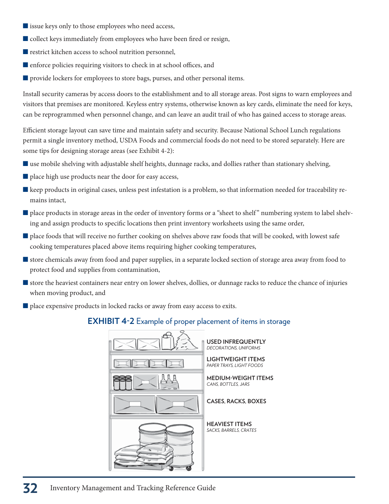- $\blacksquare$  issue keys only to those employees who need access,
- $\blacksquare$  collect keys immediately from employees who have been fired or resign,
- $\blacksquare$  restrict kitchen access to school nutrition personnel,
- $\blacksquare$  enforce policies requiring visitors to check in at school offices, and
- $\blacksquare$  provide lockers for employees to store bags, purses, and other personal items.

Install security cameras by access doors to the establishment and to all storage areas. Post signs to warn employees and visitors that premises are monitored. Keyless entry systems, otherwise known as key cards, eliminate the need for keys, can be reprogrammed when personnel change, and can leave an audit trail of who has gained access to storage areas.

Efficient storage layout can save time and maintain safety and security. Because National School Lunch regulations permit a single inventory method, USDA Foods and commercial foods do not need to be stored separately. Here are some tips for designing storage areas (see Exhibit 4-2):

- **Quare mobile shelving with adjustable shelf heights, dunnage racks, and dollies rather than stationary shelving,**
- $\blacksquare$  place high use products near the door for easy access,
- **Example 1** keep products in original cases, unless pest infestation is a problem, so that information needed for traceability remains intact,
- place products in storage areas in the order of inventory forms or a "sheet to shelf" numbering system to label shelving and assign products to specific locations then print inventory worksheets using the same order,
- place foods that will receive no further cooking on shelves above raw foods that will be cooked, with lowest safe cooking temperatures placed above items requiring higher cooking temperatures,
- Qstore chemicals away from food and paper supplies, in a separate locked section of storage area away from food to protect food and supplies from contamination,
- Qstore the heaviest containers near entry on lower shelves, dollies, or dunnage racks to reduce the chance of injuries when moving product, and
- $\blacksquare$  place expensive products in locked racks or away from easy access to exits.

### **EXHIBIT 4-2** Example of proper placement of items in storage

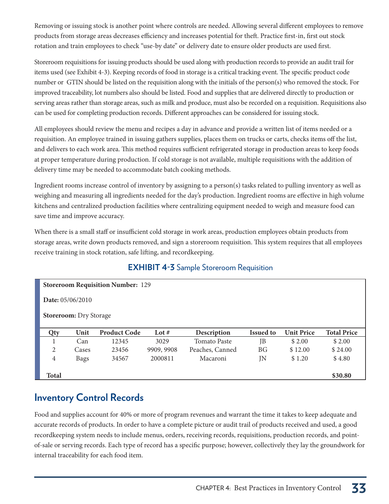Removing or issuing stock is another point where controls are needed. Allowing several different employees to remove products from storage areas decreases efficiency and increases potential for theft. Practice first-in, first out stock rotation and train employees to check "use-by date" or delivery date to ensure older products are used first.

Storeroom requisitions for issuing products should be used along with production records to provide an audit trail for items used (see Exhibit 4-3). Keeping records of food in storage is a critical tracking event. The specific product code number or GTIN should be listed on the requisition along with the initials of the person(s) who removed the stock. For improved traceability, lot numbers also should be listed. Food and supplies that are delivered directly to production or serving areas rather than storage areas, such as milk and produce, must also be recorded on a requisition. Requisitions also can be used for completing production records. Different approaches can be considered for issuing stock.

All employees should review the menu and recipes a day in advance and provide a written list of items needed or a requisition. An employee trained in issuing gathers supplies, places them on trucks or carts, checks items off the list, and delivers to each work area. This method requires sufficient refrigerated storage in production areas to keep foods at proper temperature during production. If cold storage is not available, multiple requisitions with the addition of delivery time may be needed to accommodate batch cooking methods.

Ingredient rooms increase control of inventory by assigning to a person(s) tasks related to pulling inventory as well as weighing and measuring all ingredients needed for the day's production. Ingredient rooms are effective in high volume kitchens and centralized production facilities where centralizing equipment needed to weigh and measure food can save time and improve accuracy.

When there is a small staff or insufficient cold storage in work areas, production employees obtain products from storage areas, write down products removed, and sign a storeroom requisition. This system requires that all employees receive training in stock rotation, safe lifting, and recordkeeping.

### **EXHIBIT 4-3** Sample Storeroom Requisition

|                         |                               | <b>Storeroom Requisition Number: 129</b> |            |                     |                  |                   |                    |
|-------------------------|-------------------------------|------------------------------------------|------------|---------------------|------------------|-------------------|--------------------|
| <b>Date:</b> 05/06/2010 |                               |                                          |            |                     |                  |                   |                    |
|                         | <b>Storeroom:</b> Dry Storage |                                          |            |                     |                  |                   |                    |
|                         |                               |                                          |            |                     |                  |                   |                    |
| Qty                     | Unit                          | <b>Product Code</b>                      | Lot $#$    | Description         | <b>Issued to</b> | <b>Unit Price</b> | <b>Total Price</b> |
|                         | Can                           | 12345                                    | 3029       | <b>Tomato Paste</b> | JB               | \$2.00            | \$2.00             |
| 2                       | Cases                         | 23456                                    | 9909, 9908 | Peaches, Canned     | ΒG               | \$12.00           | \$24.00            |
| $\overline{4}$          | <b>Bags</b>                   | 34567                                    | 2000811    | Macaroni            | JN               | \$1.20            | \$4.80             |
|                         |                               |                                          |            |                     |                  |                   |                    |

## **Inventory Control Records**

Food and supplies account for 40% or more of program revenues and warrant the time it takes to keep adequate and accurate records of products. In order to have a complete picture or audit trail of products received and used, a good recordkeeping system needs to include menus, orders, receiving records, requisitions, production records, and pointof-sale or serving records. Each type of record has a specific purpose; however, collectively they lay the groundwork for internal traceability for each food item.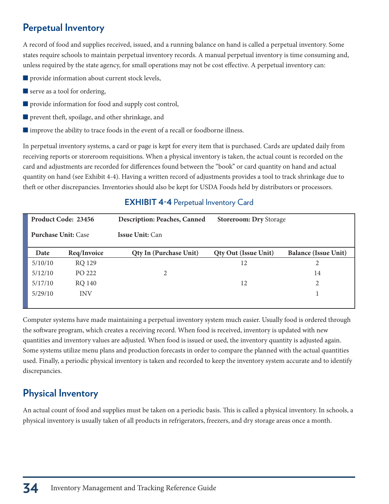## **Perpetual Inventory**

A record of food and supplies received, issued, and a running balance on hand is called a perpetual inventory. Some states require schools to maintain perpetual inventory records. A manual perpetual inventory is time consuming and, unless required by the state agency, for small operations may not be cost effective. A perpetual inventory can:

- $\blacksquare$  provide information about current stock levels,
- $\blacksquare$  serve as a tool for ordering,
- $\blacksquare$  provide information for food and supply cost control,
- $\blacksquare$  prevent theft, spoilage, and other shrinkage, and
- $\blacksquare$  improve the ability to trace foods in the event of a recall or foodborne illness.

In perpetual inventory systems, a card or page is kept for every item that is purchased. Cards are updated daily from receiving reports or storeroom requisitions. When a physical inventory is taken, the actual count is recorded on the card and adjustments are recorded for differences found between the "book" or card quantity on hand and actual quantity on hand (see Exhibit 4-4). Having a written record of adjustments provides a tool to track shrinkage due to theft or other discrepancies. Inventories should also be kept for USDA Foods held by distributors or processors.

| Product Code: 23456        |               | <b>Description: Peaches, Canned</b><br><b>Storeroom: Dry Storage</b> |                             |                             |  |  |
|----------------------------|---------------|----------------------------------------------------------------------|-----------------------------|-----------------------------|--|--|
| <b>Purchase Unit: Case</b> |               | <b>Issue Unit: Can</b>                                               |                             |                             |  |  |
| Date                       | Req/Invoice   | <b>Qty In (Purchase Unit)</b>                                        | <b>Qty Out (Issue Unit)</b> | <b>Balance (Issue Unit)</b> |  |  |
| 5/10/10                    | <b>RQ 129</b> |                                                                      | 12                          | 2                           |  |  |
| 5/12/10                    | PO 222        | 2                                                                    |                             | 14                          |  |  |
| 5/17/10                    | <b>RQ 140</b> |                                                                      | 12                          | 2                           |  |  |
| 5/29/10                    | <b>INV</b>    |                                                                      |                             |                             |  |  |
|                            |               |                                                                      |                             |                             |  |  |

### **EXHIBIT 4-4 Perpetual Inventory Card**

Computer systems have made maintaining a perpetual inventory system much easier. Usually food is ordered through the software program, which creates a receiving record. When food is received, inventory is updated with new quantities and inventory values are adjusted. When food is issued or used, the inventory quantity is adjusted again. Some systems utilize menu plans and production forecasts in order to compare the planned with the actual quantities used. Finally, a periodic physical inventory is taken and recorded to keep the inventory system accurate and to identify discrepancies.

### **Physical Inventory**

An actual count of food and supplies must be taken on a periodic basis. This is called a physical inventory. In schools, a physical inventory is usually taken of all products in refrigerators, freezers, and dry storage areas once a month.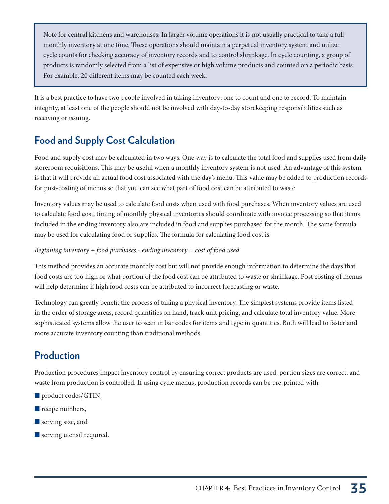Note for central kitchens and warehouses: In larger volume operations it is not usually practical to take a full monthly inventory at one time. These operations should maintain a perpetual inventory system and utilize cycle counts for checking accuracy of inventory records and to control shrinkage. In cycle counting, a group of products is randomly selected from a list of expensive or high volume products and counted on a periodic basis. For example, 20 different items may be counted each week.

It is a best practice to have two people involved in taking inventory; one to count and one to record. To maintain integrity, at least one of the people should not be involved with day-to-day storekeeping responsibilities such as receiving or issuing.

# **Food and Supply Cost Calculation**

Food and supply cost may be calculated in two ways. One way is to calculate the total food and supplies used from daily storeroom requisitions. This may be useful when a monthly inventory system is not used. An advantage of this system is that it will provide an actual food cost associated with the day's menu. This value may be added to production records for post-costing of menus so that you can see what part of food cost can be attributed to waste.

Inventory values may be used to calculate food costs when used with food purchases. When inventory values are used to calculate food cost, timing of monthly physical inventories should coordinate with invoice processing so that items included in the ending inventory also are included in food and supplies purchased for the month. The same formula may be used for calculating food or supplies. The formula for calculating food cost is:

### Beginning inventory  $+$  food purchases - ending inventory = cost of food used

This method provides an accurate monthly cost but will not provide enough information to determine the days that food costs are too high or what portion of the food cost can be attributed to waste or shrinkage. Post costing of menus will help determine if high food costs can be attributed to incorrect forecasting or waste.

Technology can greatly benefit the process of taking a physical inventory. The simplest systems provide items listed in the order of storage areas, record quantities on hand, track unit pricing, and calculate total inventory value. More sophisticated systems allow the user to scan in bar codes for items and type in quantities. Both will lead to faster and more accurate inventory counting than traditional methods.

# **Production**

Production procedures impact inventory control by ensuring correct products are used, portion sizes are correct, and waste from production is controlled. If using cycle menus, production records can be pre-printed with:

- product codes/GTIN,
- $\blacksquare$  recipe numbers,
- $\blacksquare$  serving size, and
- $\blacksquare$  serving utensil required.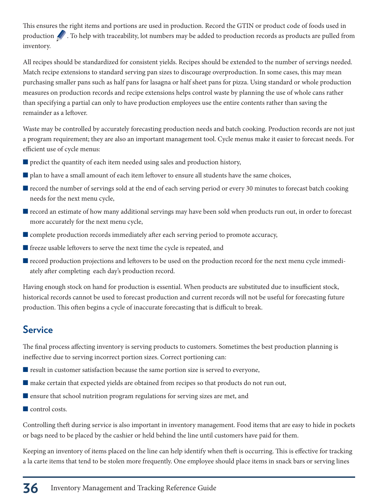This ensures the right items and portions are used in production. Record the GTIN or product code of foods used in production  $\mathcal{L}$ . To help with traceability, lot numbers may be added to production records as products are pulled from inventory.

All recipes should be standardized for consistent yields. Recipes should be extended to the number of servings needed. Match recipe extensions to standard serving pan sizes to discourage overproduction. In some cases, this may mean purchasing smaller pans such as half pans for lasagna or half sheet pans for pizza. Using standard or whole production measures on production records and recipe extensions helps control waste by planning the use of whole cans rather than specifying a partial can only to have production employees use the entire contents rather than saving the remainder as a leftover.

Waste may be controlled by accurately forecasting production needs and batch cooking. Production records are not just a program requirement; they are also an important management tool. Cycle menus make it easier to forecast needs. For efficient use of cycle menus:

- $\blacksquare$  predict the quantity of each item needed using sales and production history,
- $\blacksquare$  plan to have a small amount of each item leftover to ensure all students have the same choices,
- **T** record the number of servings sold at the end of each serving period or every 30 minutes to forecast batch cooking needs for the next menu cycle,
- **The record an estimate of how many additional servings may have been sold when products run out, in order to forecast** more accurately for the next menu cycle,
- Complete production records immediately after each serving period to promote accuracy,
- $\blacksquare$  freeze usable leftovers to serve the next time the cycle is repeated, and
- $\blacksquare$  record production projections and leftovers to be used on the production record for the next menu cycle immediately after completing each day's production record.

Having enough stock on hand for production is essential. When products are substituted due to insufficient stock, historical records cannot be used to forecast production and current records will not be useful for forecasting future production. This often begins a cycle of inaccurate forecasting that is difficult to break.

### **Service**

The final process affecting inventory is serving products to customers. Sometimes the best production planning is ineffective due to serving incorrect portion sizes. Correct portioning can:

- $\blacksquare$  result in customer satisfaction because the same portion size is served to everyone,
- $\blacksquare$  make certain that expected yields are obtained from recipes so that products do not run out,
- $\blacksquare$  ensure that school nutrition program regulations for serving sizes are met, and
- $\blacksquare$  control costs.

Controlling theft during service is also important in inventory management. Food items that are easy to hide in pockets or bags need to be placed by the cashier or held behind the line until customers have paid for them.

Keeping an inventory of items placed on the line can help identify when theft is occurring. This is effective for tracking a la carte items that tend to be stolen more frequently. One employee should place items in snack bars or serving lines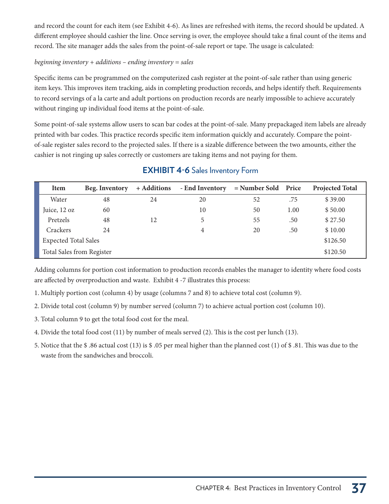and record the count for each item (see Exhibit 4-6). As lines are refreshed with items, the record should be updated. A different employee should cashier the line. Once serving is over, the employee should take a final count of the items and record. The site manager adds the sales from the point-of-sale report or tape. The usage is calculated:

### beginning inventory  $+$  additions  $-$  ending inventory  $=$  sales

Specific items can be programmed on the computerized cash register at the point-of-sale rather than using generic item keys. This improves item tracking, aids in completing production records, and helps identify theft. Requirements to record servings of a la carte and adult portions on production records are nearly impossible to achieve accurately without ringing up individual food items at the point-of-sale.

Some point-of-sale systems allow users to scan bar codes at the point-of-sale. Many prepackaged item labels are already printed with bar codes. This practice records specific item information quickly and accurately. Compare the pointof-sale register sales record to the projected sales. If there is a sizable difference between the two amounts, either the cashier is not ringing up sales correctly or customers are taking items and not paying for them.

| Item                        | Beg. Inventory | + Additions | - End Inventory | $=$ Number Sold Price |      | <b>Projected Total</b> |
|-----------------------------|----------------|-------------|-----------------|-----------------------|------|------------------------|
| Water                       | 48             | 24          | 20              | 52                    | .75  | \$39.00                |
| Juice, 12 oz                | 60             |             | 10              | 50                    | 1.00 | \$50.00                |
| Pretzels                    | 48             | 12          | 5               | 55                    | .50  | \$27.50                |
| Crackers                    | 24             |             | 4               | 20                    | .50  | \$10.00                |
| <b>Expected Total Sales</b> |                |             |                 |                       |      | \$126.50               |
| Total Sales from Register   |                |             |                 |                       |      | \$120.50               |

### **EXHIBIT 4-6** Sales Inventory Form

Adding columns for portion cost information to production records enables the manager to identity where food costs are affected by overproduction and waste. Exhibit 4 -7 illustrates this process:

- 1. Multiply portion cost (column 4) by usage (columns 7 and 8) to achieve total cost (column 9).
- 2. Divide total cost (column 9) by number served (column 7) to achieve actual portion cost (column 10).
- 3. Total column 9 to get the total food cost for the meal.
- 4. Divide the total food cost (11) by number of meals served (2). This is the cost per lunch (13).
- 5. Notice that the \$ .86 actual cost (13) is \$ .05 per meal higher than the planned cost (1) of \$ .81. This was due to the waste from the sandwiches and broccoli.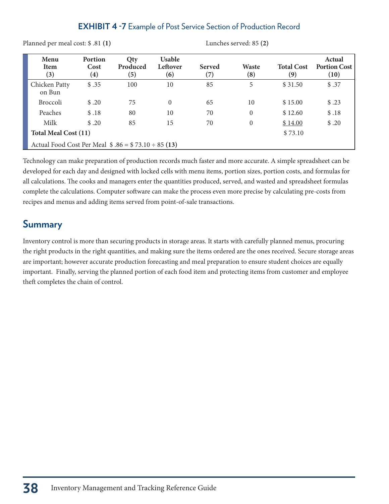### **EXHIBIT 4 -7** Example of Post Service Section of Production Record

Planned per meal cost: \$ .81 **(1)** Lunches served: 85 **(2)**

| Menu<br><b>Item</b><br>(3)                              | Portion<br>Cost<br>$\left( 4\right)$ | Qty<br>Produced<br>(5) | <b>Usable</b><br>Leftover<br>(6) | <b>Served</b><br>$\left( 7\right)$ | Waste<br>(8) | <b>Total Cost</b><br>(9) | Actual<br><b>Portion Cost</b><br>(10) |
|---------------------------------------------------------|--------------------------------------|------------------------|----------------------------------|------------------------------------|--------------|--------------------------|---------------------------------------|
| Chicken Patty<br>on Bun                                 | \$.35                                | 100                    | 10                               | 85                                 | 5            | \$31.50                  | \$.37                                 |
| <b>Broccoli</b>                                         | \$.20                                | 75                     | $\theta$                         | 65                                 | 10           | \$15.00                  | \$.23                                 |
| Peaches                                                 | \$.18                                | 80                     | 10                               | 70                                 | $\theta$     | \$12.60                  | \$.18                                 |
| Milk                                                    | \$.20                                | 85                     | 15                               | 70                                 | $\theta$     | \$14.00                  | \$.20                                 |
| <b>Total Meal Cost (11)</b><br>\$73.10                  |                                      |                        |                                  |                                    |              |                          |                                       |
| Actual Food Cost Per Meal $$.86 = $.73.10 \div 85 (13)$ |                                      |                        |                                  |                                    |              |                          |                                       |

Technology can make preparation of production records much faster and more accurate. A simple spreadsheet can be developed for each day and designed with locked cells with menu items, portion sizes, portion costs, and formulas for all calculations. The cooks and managers enter the quantities produced, served, and wasted and spreadsheet formulas complete the calculations. Computer software can make the process even more precise by calculating pre-costs from recipes and menus and adding items served from point-of-sale transactions.

### **Summary**

Inventory control is more than securing products in storage areas. It starts with carefully planned menus, procuring the right products in the right quantities, and making sure the items ordered are the ones received. Secure storage areas are important; however accurate production forecasting and meal preparation to ensure student choices are equally important. Finally, serving the planned portion of each food item and protecting items from customer and employee theft completes the chain of control.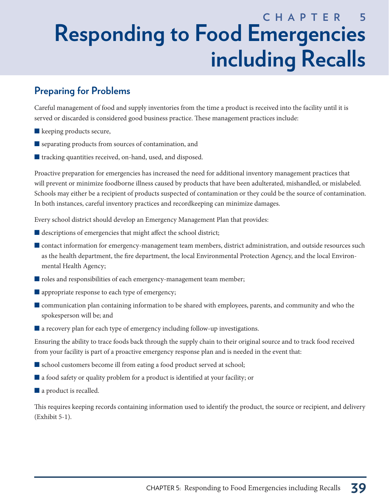# **C H A P T E R 5 Responding to Food Emergencies including Recalls**

# **Preparing for Problems**

Careful management of food and supply inventories from the time a product is received into the facility until it is served or discarded is considered good business practice. These management practices include:

- $\blacksquare$  keeping products secure,
- $\blacksquare$  separating products from sources of contamination, and
- $\blacksquare$  tracking quantities received, on-hand, used, and disposed.

Proactive preparation for emergencies has increased the need for additional inventory management practices that will prevent or minimize foodborne illness caused by products that have been adulterated, mishandled, or mislabeled. Schools may either be a recipient of products suspected of contamination or they could be the source of contamination. In both instances, careful inventory practices and recordkeeping can minimize damages.

Every school district should develop an Emergency Management Plan that provides:

- $\blacksquare$  descriptions of emergencies that might affect the school district;
- Contact information for emergency-management team members, district administration, and outside resources such as the health department, the fire department, the local Environmental Protection Agency, and the local Environmental Health Agency;
- $\blacksquare$  roles and responsibilities of each emergency-management team member;
- $\blacksquare$  appropriate response to each type of emergency;
- **Communication plan containing information to be shared with employees, parents, and community and who the** spokesperson will be; and
- $\blacksquare$  a recovery plan for each type of emergency including follow-up investigations.

Ensuring the ability to trace foods back through the supply chain to their original source and to track food received from your facility is part of a proactive emergency response plan and is needed in the event that:

- $\blacksquare$  school customers become ill from eating a food product served at school;
- $\blacksquare$  a food safety or quality problem for a product is identified at your facility; or
- $\blacksquare$  a product is recalled.

This requires keeping records containing information used to identify the product, the source or recipient, and delivery (Exhibit 5-1).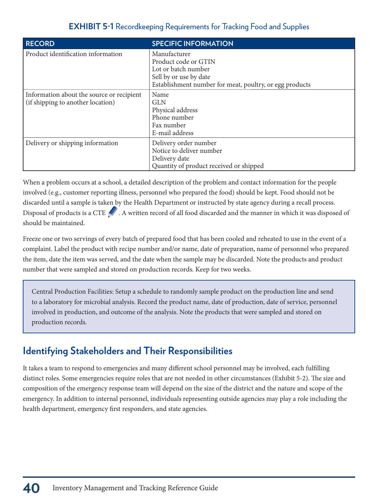### **EXHIBIT 5-1** Recordkeeping Requirements for Tracking Food and Supplies

| <b>RECORD</b>                                                                  | <b>SPECIFIC INFORMATION</b>                                                                                                                      |
|--------------------------------------------------------------------------------|--------------------------------------------------------------------------------------------------------------------------------------------------|
| Product identification information                                             | Manufacturer<br>Product code or GTIN<br>Lot or batch number<br>Sell by or use by date<br>Establishment number for meat, poultry, or egg products |
| Information about the source or recipient<br>(if shipping to another location) | Name<br><b>GLN</b><br>Physical address<br>Phone number<br>Fax number<br>E-mail address                                                           |
| Delivery or shipping information                                               | Delivery order number<br>Notice to deliver number<br>Delivery date<br>Quantity of product received or shipped                                    |

When a problem occurs at a school, a detailed description of the problem and contact information for the people involved (e.g., customer reporting illness, personnel who prepared the food) should be kept. Food should not be discarded until a sample is taken by the Health Department or instructed by state agency during a recall process. Disposal of products is a CTE . A written record of all food discarded and the manner in which it was disposed of should be maintained.

Freeze one or two servings of every batch of prepared food that has been cooled and reheated to use in the event of a complaint. Label the product with recipe number and/or name, date of preparation, name of personnel who prepared the item, date the item was served, and the date when the sample may be discarded. Note the products and product number that were sampled and stored on production records. Keep for two weeks.

Central Production Facilities: Setup a schedule to randomly sample product on the production line and send to a laboratory for microbial analysis. Record the product name, date of production, date of service, personnel involved in production, and outcome of the analysis. Note the products that were sampled and stored on production records.

## **Identifying Stakeholders and Their Responsibilities**

It takes a team to respond to emergencies and many different school personnel may be involved, each fulfilling distinct roles. Some emergencies require roles that are not needed in other circumstances (Exhibit 5-2). The size and composition of the emergency response team will depend on the size of the district and the nature and scope of the emergency. In addition to internal personnel, individuals representing outside agencies may play a role including the health department, emergency first responders, and state agencies.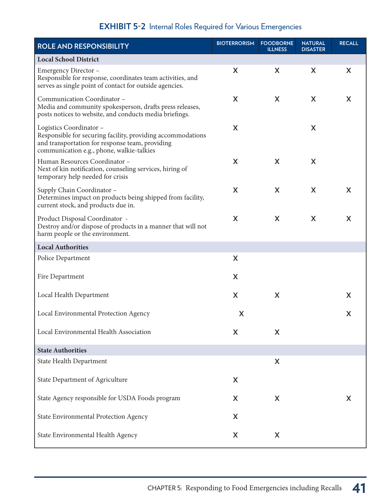### **EXHIBIT 5-2** Internal Roles Required for Various Emergencies

| ROLE AND RESPONSIBILITY                                                                                                                                                                | <b>BIOTERRORISM</b> | <b>FOODBORNE</b><br><b>ILLNESS</b> | <b>NATURAL</b><br><b>DISASTER</b> | <b>RECALL</b> |
|----------------------------------------------------------------------------------------------------------------------------------------------------------------------------------------|---------------------|------------------------------------|-----------------------------------|---------------|
| <b>Local School District</b>                                                                                                                                                           |                     |                                    |                                   |               |
| Emergency Director -<br>Responsible for response, coordinates team activities, and<br>serves as single point of contact for outside agencies.                                          | X                   | X                                  | X                                 | X             |
| Communication Coordinator -<br>Media and community spokesperson, drafts press releases,<br>posts notices to website, and conducts media briefings.                                     | X                   | X                                  | X                                 | X             |
| Logistics Coordinator -<br>Responsible for securing facility, providing accommodations<br>and transportation for response team, providing<br>communication e.g., phone, walkie-talkies | X                   |                                    | X                                 |               |
| Human Resources Coordinator -<br>Next of kin notification, counseling services, hiring of<br>temporary help needed for crisis                                                          | X                   | X                                  | X                                 |               |
| Supply Chain Coordinator -<br>Determines impact on products being shipped from facility,<br>current stock, and products due in.                                                        | X                   | X                                  | X                                 | X             |
| Product Disposal Coordinator -<br>Destroy and/or dispose of products in a manner that will not<br>harm people or the environment.                                                      | X                   | X                                  | X                                 | X             |
| <b>Local Authorities</b>                                                                                                                                                               |                     |                                    |                                   |               |
| Police Department                                                                                                                                                                      | X                   |                                    |                                   |               |
| Fire Department                                                                                                                                                                        | X                   |                                    |                                   |               |
| Local Health Department                                                                                                                                                                | X                   | X                                  |                                   | X             |
| Local Environmental Protection Agency                                                                                                                                                  | X                   |                                    |                                   | X             |
| Local Environmental Health Association                                                                                                                                                 | X                   | X                                  |                                   |               |
| <b>State Authorities</b>                                                                                                                                                               |                     |                                    |                                   |               |
| <b>State Health Department</b>                                                                                                                                                         |                     | X                                  |                                   |               |
| State Department of Agriculture                                                                                                                                                        | X                   |                                    |                                   |               |
| State Agency responsible for USDA Foods program                                                                                                                                        | X                   | X                                  |                                   | X             |
| State Environmental Protection Agency                                                                                                                                                  | X                   |                                    |                                   |               |
| State Environmental Health Agency                                                                                                                                                      | X                   | X                                  |                                   |               |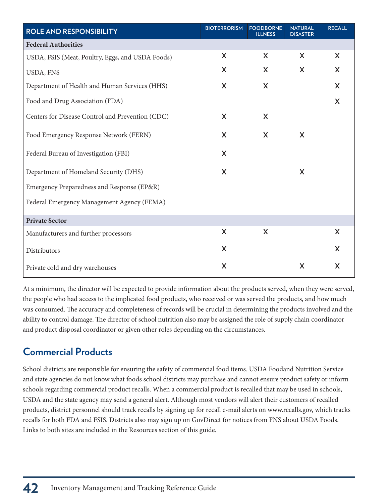| ROLE AND RESPONSIBILITY                          | <b>BIOTERRORISM</b> | <b>FOODBORNE</b><br><b>ILLNESS</b> | <b>NATURAL</b><br><b>DISASTER</b> | <b>RECALL</b> |
|--------------------------------------------------|---------------------|------------------------------------|-----------------------------------|---------------|
| <b>Federal Authorities</b>                       |                     |                                    |                                   |               |
| USDA, FSIS (Meat, Poultry, Eggs, and USDA Foods) | X                   | X                                  | X                                 | X             |
| USDA, FNS                                        | X                   | X                                  | X                                 | X             |
| Department of Health and Human Services (HHS)    | X                   | X                                  |                                   | X             |
| Food and Drug Association (FDA)                  |                     |                                    |                                   | X             |
| Centers for Disease Control and Prevention (CDC) | X                   | X                                  |                                   |               |
| Food Emergency Response Network (FERN)           | X                   | X                                  | X                                 |               |
| Federal Bureau of Investigation (FBI)            | X                   |                                    |                                   |               |
| Department of Homeland Security (DHS)            | X                   |                                    | X                                 |               |
| Emergency Preparedness and Response (EP&R)       |                     |                                    |                                   |               |
| Federal Emergency Management Agency (FEMA)       |                     |                                    |                                   |               |
| <b>Private Sector</b>                            |                     |                                    |                                   |               |
| Manufacturers and further processors             | X                   | X                                  |                                   | X             |
| Distributors                                     | X                   |                                    |                                   | X             |
| Private cold and dry warehouses                  | X                   |                                    | X                                 | X             |

At a minimum, the director will be expected to provide information about the products served, when they were served, the people who had access to the implicated food products, who received or was served the products, and how much was consumed. The accuracy and completeness of records will be crucial in determining the products involved and the ability to control damage. The director of school nutrition also may be assigned the role of supply chain coordinator and product disposal coordinator or given other roles depending on the circumstances.

## **Commercial Products**

School districts are responsible for ensuring the safety of commercial food items. USDA Foodand Nutrition Service and state agencies do not know what foods school districts may purchase and cannot ensure product safety or inform schools regarding commercial product recalls. When a commercial product is recalled that may be used in schools, USDA and the state agency may send a general alert. Although most vendors will alert their customers of recalled products, district personnel should track recalls by signing up for recall e-mail alerts on www.recalls.gov, which tracks recalls for both FDA and FSIS. Districts also may sign up on GovDirect for notices from FNS about USDA Foods. Links to both sites are included in the Resources section of this guide.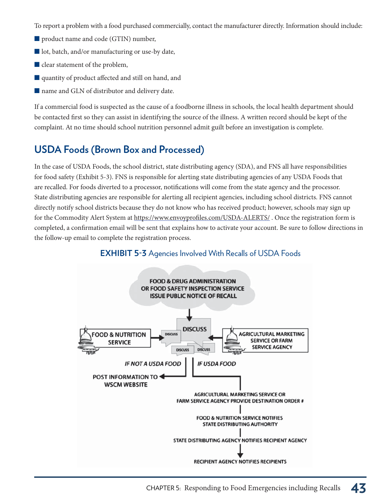To report a problem with a food purchased commercially, contact the manufacturer directly. Information should include:

- product name and code (GTIN) number,
- lacktriangleright batch, and/or manufacturing or use-by date,
- $\blacksquare$  clear statement of the problem,
- Qquantity of product affected and still on hand, and
- $\blacksquare$  name and GLN of distributor and delivery date.

If a commercial food is suspected as the cause of a foodborne illness in schools, the local health department should be contacted first so they can assist in identifying the source of the illness. A written record should be kept of the complaint. At no time should school nutrition personnel admit guilt before an investigation is complete.

### **USDA Foods (Brown Box and Processed)**

In the case of USDA Foods, the school district, state distributing agency (SDA), and FNS all have responsibilities for food safety (Exhibit 5-3). FNS is responsible for alerting state distributing agencies of any USDA Foods that are recalled. For foods diverted to a processor, notifications will come from the state agency and the processor. State distributing agencies are responsible for alerting all recipient agencies, including school districts. FNS cannot directly notify school districts because they do not know who has received product; however, schools may sign up for the Commodity Alert System at https://www.envoyprofiles.com/USDA-ALERTS/ . Once the registration form is completed, a confirmation email will be sent that explains how to activate your account. Be sure to follow directions in the follow-up email to complete the registration process.



### **EXHIBIT 5-3** Agencies Involved With Recalls of USDA Foods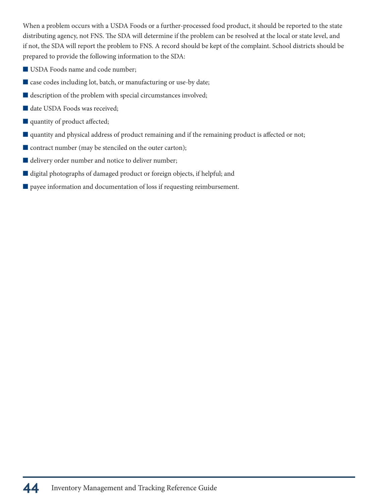When a problem occurs with a USDA Foods or a further-processed food product, it should be reported to the state distributing agency, not FNS. The SDA will determine if the problem can be resolved at the local or state level, and if not, the SDA will report the problem to FNS. A record should be kept of the complaint. School districts should be prepared to provide the following information to the SDA:

- USDA Foods name and code number;
- $\blacksquare$  case codes including lot, batch, or manufacturing or use-by date;
- $\blacksquare$  description of the problem with special circumstances involved;
- date USDA Foods was received;
- quantity of product affected;
- **Quantity and physical address of product remaining and if the remaining product is affected or not;**
- $\blacksquare$  contract number (may be stenciled on the outer carton);
- $\blacksquare$  delivery order number and notice to deliver number;
- $\blacksquare$  digital photographs of damaged product or foreign objects, if helpful; and
- $\blacksquare$  payee information and documentation of loss if requesting reimbursement.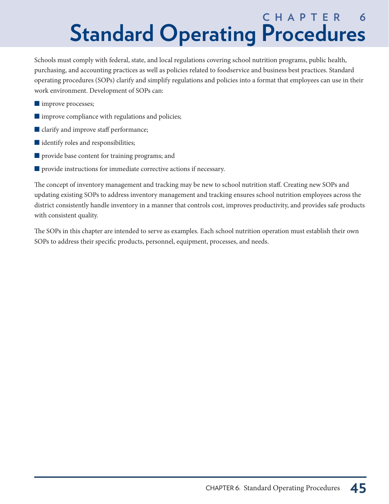# **C H A P T E R 6 Standard Operating Procedures**

Schools must comply with federal, state, and local regulations covering school nutrition programs, public health, purchasing, and accounting practices as well as policies related to foodservice and business best practices. Standard operating procedures (SOPs) clarify and simplify regulations and policies into a format that employees can use in their work environment. Development of SOPs can:

- **umprove processes;**
- $\blacksquare$  improve compliance with regulations and policies;
- clarify and improve staff performance;
- $\blacksquare$  identify roles and responsibilities;
- $\blacksquare$  provide base content for training programs; and
- $\blacksquare$  provide instructions for immediate corrective actions if necessary.

The concept of inventory management and tracking may be new to school nutrition staff. Creating new SOPs and updating existing SOPs to address inventory management and tracking ensures school nutrition employees across the district consistently handle inventory in a manner that controls cost, improves productivity, and provides safe products with consistent quality.

The SOPs in this chapter are intended to serve as examples. Each school nutrition operation must establish their own SOPs to address their specific products, personnel, equipment, processes, and needs.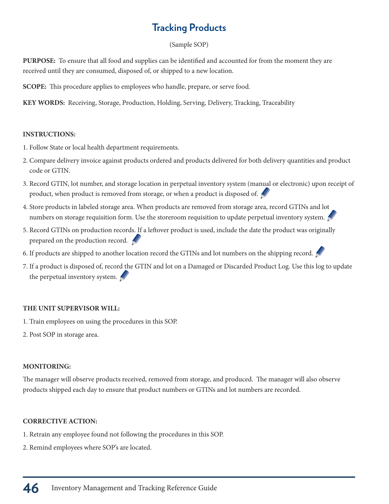# **Tracking Products**

### (Sample SOP)

**PURPOSE:** To ensure that all food and supplies can be identified and accounted for from the moment they are received until they are consumed, disposed of, or shipped to a new location.

**SCOPE:** This procedure applies to employees who handle, prepare, or serve food.

**KEY WORDS:** Receiving, Storage, Production, Holding, Serving, Delivery, Tracking, Traceability

#### **INSTRUCTIONS:**

- 1. Follow State or local health department requirements.
- 2. Compare delivery invoice against products ordered and products delivered for both delivery quantities and product code or GTIN.
- 3. Record GTIN, lot number, and storage location in perpetual inventory system (manual or electronic) upon receipt of product, when product is removed from storage, or when a product is disposed of.
- 4. Store products in labeled storage area. When products are removed from storage area, record GTINs and lot numbers on storage requisition form. Use the storeroom requisition to update perpetual inventory system.
- 5. Record GTINs on production records. If a leftover product is used, include the date the product was originally prepared on the production record.
- 6. If products are shipped to another location record the GTINs and lot numbers on the shipping record.
- 7. If a product is disposed of, record the GTIN and lot on a Damaged or Discarded Product Log. Use this log to update the perpetual inventory system.

### **THE UNIT SUPERVISOR WILL:**

- 1. Train employees on using the procedures in this SOP.
- 2. Post SOP in storage area.

### **MONITORING:**

The manager will observe products received, removed from storage, and produced. The manager will also observe products shipped each day to ensure that product numbers or GTINs and lot numbers are recorded.

### **CORRECTIVE ACTION:**

- 1. Retrain any employee found not following the procedures in this SOP.
- 2. Remind employees where SOP's are located.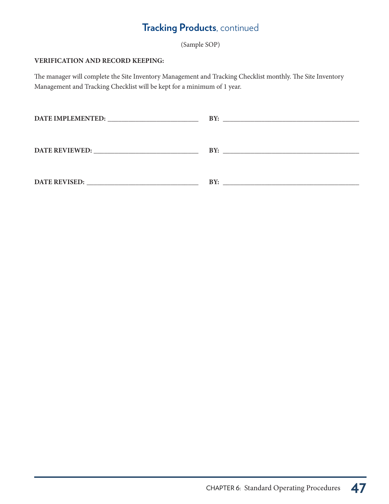# **Tracking Products**, continued

(Sample SOP)

### **VERIFICATION AND RECORD KEEPING:**

The manager will complete the Site Inventory Management and Tracking Checklist monthly. The Site Inventory Management and Tracking Checklist will be kept for a minimum of 1 year.

|                       | BY:<br><u> 1980 - Jan Barbara, martin da kasar Amerikaan kasar da</u> |
|-----------------------|-----------------------------------------------------------------------|
|                       |                                                                       |
| <b>DATE REVIEWED:</b> | BY:                                                                   |
|                       |                                                                       |
| <b>DATE REVISED:</b>  | BY:                                                                   |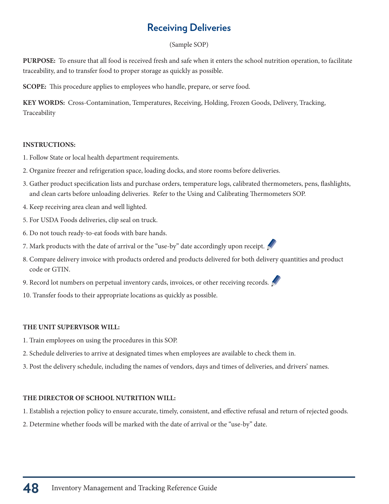### **Receiving Deliveries**

### (Sample SOP)

**PURPOSE:** To ensure that all food is received fresh and safe when it enters the school nutrition operation, to facilitate traceability, and to transfer food to proper storage as quickly as possible.

**SCOPE:** This procedure applies to employees who handle, prepare, or serve food.

**KEY WORDS:** Cross-Contamination, Temperatures, Receiving, Holding, Frozen Goods, Delivery, Tracking, Traceability

### **INSTRUCTIONS:**

- 1. Follow State or local health department requirements.
- 2. Organize freezer and refrigeration space, loading docks, and store rooms before deliveries.
- 3. Gather product specification lists and purchase orders, temperature logs, calibrated thermometers, pens, flashlights, and clean carts before unloading deliveries. Refer to the Using and Calibrating Thermometers SOP.
- 4. Keep receiving area clean and well lighted.
- 5. For USDA Foods deliveries, clip seal on truck.
- 6. Do not touch ready-to-eat foods with bare hands.
- 7. Mark products with the date of arrival or the "use-by" date accordingly upon receipt.
- 8. Compare delivery invoice with products ordered and products delivered for both delivery quantities and product code or GTIN.
- 9. Record lot numbers on perpetual inventory cards, invoices, or other receiving records.
- 10. Transfer foods to their appropriate locations as quickly as possible.

### **THE UNIT SUPERVISOR WILL:**

- 1. Train employees on using the procedures in this SOP.
- 2. Schedule deliveries to arrive at designated times when employees are available to check them in.
- 3. Post the delivery schedule, including the names of vendors, days and times of deliveries, and drivers' names.

### **THE DIRECTOR OF SCHOOL NUTRITION WILL:**

- 1. Establish a rejection policy to ensure accurate, timely, consistent, and effective refusal and return of rejected goods.
- 2. Determine whether foods will be marked with the date of arrival or the "use-by" date.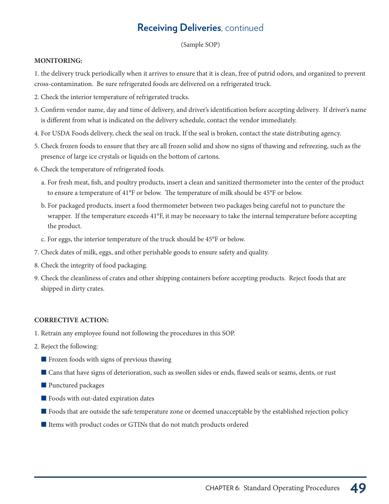### **Receiving Deliveries**, continued

(Sample SOP)

#### **MONITORING:**

1. the delivery truck periodically when it arrives to ensure that it is clean, free of putrid odors, and organized to prevent cross-contamination. Be sure refrigerated foods are delivered on a refrigerated truck.

- 2. Check the interior temperature of refrigerated trucks.
- 3. Confirm vendor name, day and time of delivery, and driver's identification before accepting delivery. If driver's name is different from what is indicated on the delivery schedule, contact the vendor immediately.
- 4. For USDA Foods delivery, check the seal on truck. If the seal is broken, contact the state distributing agency.
- 5. Check frozen foods to ensure that they are all frozen solid and show no signs of thawing and refreezing, such as the presence of large ice crystals or liquids on the bottom of cartons.
- 6. Check the temperature of refrigerated foods.
	- a. For fresh meat, fish, and poultry products, insert a clean and sanitized thermometer into the center of the product to ensure a temperature of 41°F or below. The temperature of milk should be 45°F or below.
	- b. For packaged products, insert a food thermometer between two packages being careful not to puncture the wrapper. If the temperature exceeds 41°F, it may be necessary to take the internal temperature before accepting the product.
	- c. For eggs, the interior temperature of the truck should be 45°F or below.
- 7. Check dates of milk, eggs, and other perishable goods to ensure safety and quality.
- 8. Check the integrity of food packaging.
- 9. Check the cleanliness of crates and other shipping containers before accepting products. Reject foods that are shipped in dirty crates.

### **CORRECTIVE ACTION:**

- 1. Retrain any employee found not following the procedures in this SOP.
- 2. Reject the following:
	- Frozen foods with signs of previous thawing
	- Cans that have signs of deterioration, such as swollen sides or ends, flawed seals or seams, dents, or rust
	- Punctured packages
	- $\blacksquare$  Foods with out-dated expiration dates
	- Foods that are outside the safe temperature zone or deemed unacceptable by the established rejection policy
	- I Items with product codes or GTINs that do not match products ordered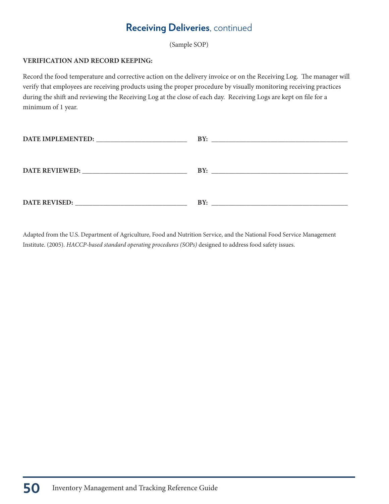### **Receiving Deliveries**, continued

(Sample SOP)

#### **VERIFICATION AND RECORD KEEPING:**

Record the food temperature and corrective action on the delivery invoice or on the Receiving Log. The manager will verify that employees are receiving products using the proper procedure by visually monitoring receiving practices during the shift and reviewing the Receiving Log at the close of each day. Receiving Logs are kept on file for a minimum of 1 year.

Adapted from the U.S. Department of Agriculture, Food and Nutrition Service, and the National Food Service Management Institute. (2005). HACCP-based standard operating procedures (SOPs) designed to address food safety issues.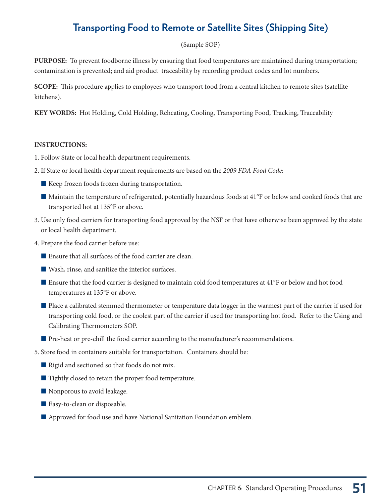## **Transporting Food to Remote or Satellite Sites (Shipping Site)**

### (Sample SOP)

**PURPOSE:** To prevent foodborne illness by ensuring that food temperatures are maintained during transportation; contamination is prevented; and aid product traceability by recording product codes and lot numbers.

**SCOPE:** This procedure applies to employees who transport food from a central kitchen to remote sites (satellite kitchens).

**KEY WORDS:** Hot Holding, Cold Holding, Reheating, Cooling, Transporting Food, Tracking, Traceability

#### **INSTRUCTIONS:**

- 1. Follow State or local health department requirements.
- 2. If State or local health department requirements are based on the 2009 FDA Food Code:
	- Keep frozen foods frozen during transportation.
	- Maintain the temperature of refrigerated, potentially hazardous foods at 41°F or below and cooked foods that are transported hot at 135°F or above.
- 3. Use only food carriers for transporting food approved by the NSF or that have otherwise been approved by the state or local health department.
- 4. Prepare the food carrier before use:
	- Ensure that all surfaces of the food carrier are clean.
	- $\blacksquare$  Wash, rinse, and sanitize the interior surfaces.
	- Ensure that the food carrier is designed to maintain cold food temperatures at 41°F or below and hot food temperatures at 135°F or above.
	- Place a calibrated stemmed thermometer or temperature data logger in the warmest part of the carrier if used for transporting cold food, or the coolest part of the carrier if used for transporting hot food. Refer to the Using and Calibrating Thermometers SOP.
	- Pre-heat or pre-chill the food carrier according to the manufacturer's recommendations.
- 5. Store food in containers suitable for transportation. Containers should be:
	- Rigid and sectioned so that foods do not mix.
	- $\blacksquare$  Tightly closed to retain the proper food temperature.
	- Nonporous to avoid leakage.
	- Easy-to-clean or disposable.
	- Approved for food use and have National Sanitation Foundation emblem.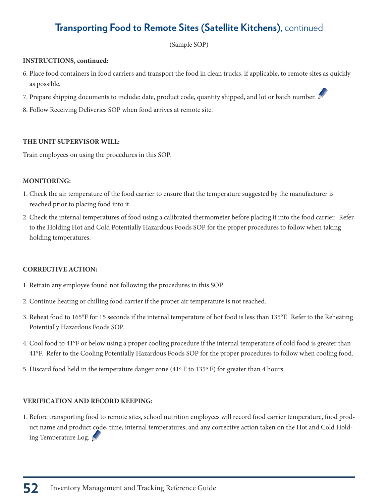# **Transporting Food to Remote Sites (Satellite Kitchens)**, continued

(Sample SOP)

#### **INSTRUCTIONS, continued:**

- 6. Place food containers in food carriers and transport the food in clean trucks, if applicable, to remote sites as quickly as possible.
- 7. Prepare shipping documents to include: date, product code, quantity shipped, and lot or batch number.
- 8. Follow Receiving Deliveries SOP when food arrives at remote site.

### **THE UNIT SUPERVISOR WILL:**

Train employees on using the procedures in this SOP.

#### **MONITORING:**

- 1. Check the air temperature of the food carrier to ensure that the temperature suggested by the manufacturer is reached prior to placing food into it.
- 2. Check the internal temperatures of food using a calibrated thermometer before placing it into the food carrier. Refer to the Holding Hot and Cold Potentially Hazardous Foods SOP for the proper procedures to follow when taking holding temperatures.

### **CORRECTIVE ACTION:**

- 1. Retrain any employee found not following the procedures in this SOP.
- 2. Continue heating or chilling food carrier if the proper air temperature is not reached.
- 3. Reheat food to 165°F for 15 seconds if the internal temperature of hot food is less than 135°F. Refer to the Reheating Potentially Hazardous Foods SOP.
- 4. Cool food to 41°F or below using a proper cooling procedure if the internal temperature of cold food is greater than 41°F. Refer to the Cooling Potentially Hazardous Foods SOP for the proper procedures to follow when cooling food.
- 5. Discard food held in the temperature danger zone  $(41° \text{ F to } 135° \text{ F})$  for greater than 4 hours.

### **VERIFICATION AND RECORD KEEPING:**

1. Before transporting food to remote sites, school nutrition employees will record food carrier temperature, food product name and product code, time, internal temperatures, and any corrective action taken on the Hot and Cold Holding Temperature Log.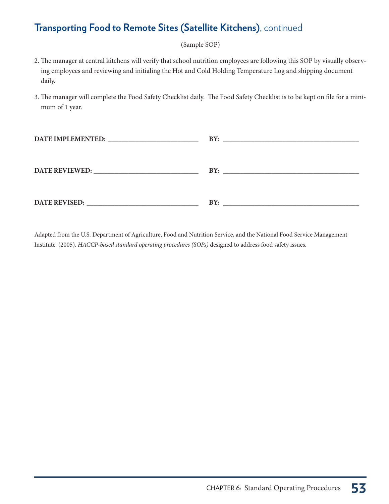### **Transporting Food to Remote Sites (Satellite Kitchens)**, continued

(Sample SOP)

- 2. The manager at central kitchens will verify that school nutrition employees are following this SOP by visually observing employees and reviewing and initialing the Hot and Cold Holding Temperature Log and shipping document daily.
- 3. The manager will complete the Food Safety Checklist daily. The Food Safety Checklist is to be kept on file for a minimum of 1 year.

| BY:                     |
|-------------------------|
|                         |
|                         |
|                         |
| BY:                     |
|                         |
|                         |
|                         |
| $\mathbf{R} \mathbf{Y}$ |
|                         |

Adapted from the U.S. Department of Agriculture, Food and Nutrition Service, and the National Food Service Management Institute. (2005). HACCP-based standard operating procedures (SOPs) designed to address food safety issues.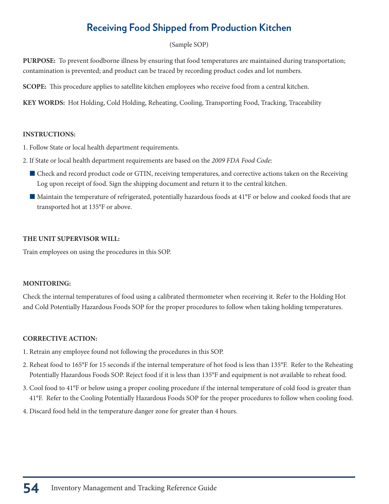## **Receiving Food Shipped from Production Kitchen**

### (Sample SOP)

**PURPOSE:** To prevent foodborne illness by ensuring that food temperatures are maintained during transportation; contamination is prevented; and product can be traced by recording product codes and lot numbers.

**SCOPE:** This procedure applies to satellite kitchen employees who receive food from a central kitchen.

**KEY WORDS:** Hot Holding, Cold Holding, Reheating, Cooling, Transporting Food, Tracking, Traceability

#### **INSTRUCTIONS:**

- 1. Follow State or local health department requirements.
- 2. If State or local health department requirements are based on the 2009 FDA Food Code:
	- Check and record product code or GTIN, receiving temperatures, and corrective actions taken on the Receiving Log upon receipt of food. Sign the shipping document and return it to the central kitchen.
	- Maintain the temperature of refrigerated, potentially hazardous foods at 41°F or below and cooked foods that are transported hot at 135°F or above.

#### **THE UNIT SUPERVISOR WILL:**

Train employees on using the procedures in this SOP.

### **MONITORING:**

Check the internal temperatures of food using a calibrated thermometer when receiving it. Refer to the Holding Hot and Cold Potentially Hazardous Foods SOP for the proper procedures to follow when taking holding temperatures.

### **CORRECTIVE ACTION:**

- 1. Retrain any employee found not following the procedures in this SOP.
- 2. Reheat food to 165°F for 15 seconds if the internal temperature of hot food is less than 135°F. Refer to the Reheating Potentially Hazardous Foods SOP. Reject food if it is less than 135°F and equipment is not available to reheat food.
- 3. Cool food to 41°F or below using a proper cooling procedure if the internal temperature of cold food is greater than 41°F. Refer to the Cooling Potentially Hazardous Foods SOP for the proper procedures to follow when cooling food.
- 4. Discard food held in the temperature danger zone for greater than 4 hours.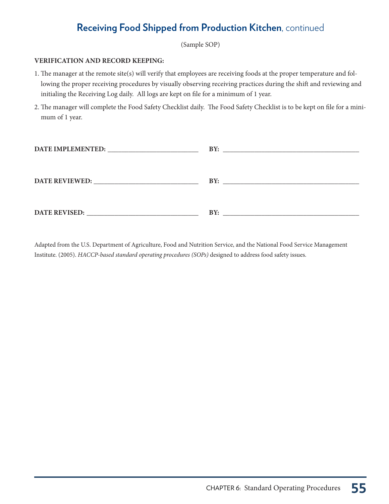### **Receiving Food Shipped from Production Kitchen**, continued

(Sample SOP)

#### **VERIFICATION AND RECORD KEEPING:**

- 1. The manager at the remote site(s) will verify that employees are receiving foods at the proper temperature and following the proper receiving procedures by visually observing receiving practices during the shift and reviewing and initialing the Receiving Log daily. All logs are kept on file for a minimum of 1 year.
- 2. The manager will complete the Food Safety Checklist daily. The Food Safety Checklist is to be kept on file for a minimum of 1 year.

|               | BY:<br><u> 1989 - John Stein, Amerikaansk politiker (</u> † 1920) |
|---------------|-------------------------------------------------------------------|
|               |                                                                   |
|               |                                                                   |
|               | BY:                                                               |
|               |                                                                   |
|               |                                                                   |
| DATE REVISED: | BY:                                                               |
|               | <u> 1980 - John Stein, Amerikaansk politiker († 1908)</u>         |

Adapted from the U.S. Department of Agriculture, Food and Nutrition Service, and the National Food Service Management Institute. (2005). HACCP-based standard operating procedures (SOPs) designed to address food safety issues.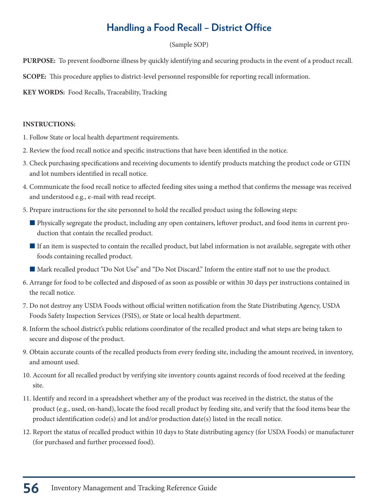# **Handling a Food Recall – District Office**

### (Sample SOP)

**PURPOSE:** To prevent foodborne illness by quickly identifying and securing products in the event of a product recall.

**SCOPE:** This procedure applies to district-level personnel responsible for reporting recall information.

**KEY WORDS:** Food Recalls, Traceability, Tracking

### **INSTRUCTIONS:**

1. Follow State or local health department requirements.

- 2. Review the food recall notice and specific instructions that have been identified in the notice.
- 3. Check purchasing specifications and receiving documents to identify products matching the product code or GTIN and lot numbers identified in recall notice.
- 4. Communicate the food recall notice to affected feeding sites using a method that confirms the message was received and understood e.g., e-mail with read receipt.
- 5. Prepare instructions for the site personnel to hold the recalled product using the following steps:
	- **Physically segregate the product, including any open containers, leftover product, and food items in current pro**duction that contain the recalled product.
	- If an item is suspected to contain the recalled product, but label information is not available, segregate with other foods containing recalled product.
	- QMark recalled product "Do Not Use" and "Do Not Discard." Inform the entire staff not to use the product.
- 6. Arrange for food to be collected and disposed of as soon as possible or within 30 days per instructions contained in the recall notice.
- 7. Do not destroy any USDA Foods without official written notification from the State Distributing Agency, USDA Foods Safety Inspection Services (FSIS), or State or local health department.
- 8. Inform the school district's public relations coordinator of the recalled product and what steps are being taken to secure and dispose of the product.
- 9. Obtain accurate counts of the recalled products from every feeding site, including the amount received, in inventory, and amount used.
- 10. Account for all recalled product by verifying site inventory counts against records of food received at the feeding site.
- 11. Identify and record in a spreadsheet whether any of the product was received in the district, the status of the product (e.g., used, on-hand), locate the food recall product by feeding site, and verify that the food items bear the product identification code(s) and lot and/or production date(s) listed in the recall notice.
- 12. Report the status of recalled product within 10 days to State distributing agency (for USDA Foods) or manufacturer (for purchased and further processed food).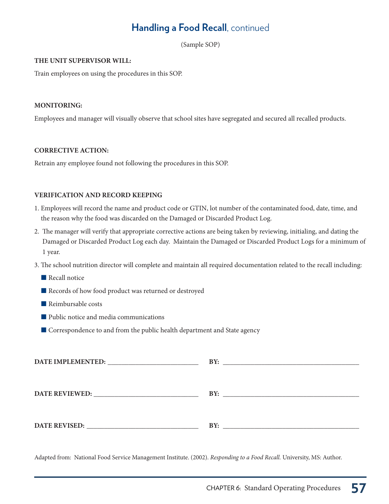### **Handling a Food Recall**, continued

(Sample SOP)

#### **THE UNIT SUPERVISOR WILL:**

Train employees on using the procedures in this SOP.

#### **MONITORING:**

Employees and manager will visually observe that school sites have segregated and secured all recalled products.

#### **CORRECTIVE ACTION:**

Retrain any employee found not following the procedures in this SOP.

#### **VERIFICATION AND RECORD KEEPING**

- 1. Employees will record the name and product code or GTIN, lot number of the contaminated food, date, time, and the reason why the food was discarded on the Damaged or Discarded Product Log.
- 2. The manager will verify that appropriate corrective actions are being taken by reviewing, initialing, and dating the Damaged or Discarded Product Log each day. Maintain the Damaged or Discarded Product Logs for a minimum of 1 year.
- 3. The school nutrition director will complete and maintain all required documentation related to the recall including:
	- $\blacksquare$  Recall notice
	- Records of how food product was returned or destroyed
	- $\blacksquare$  Reimbursable costs
	- Public notice and media communications
	- $\blacksquare$  Correspondence to and from the public health department and State agency

| DATE IMPLEMENTED: NET AND THE IMPLEMENTED:                                                                                                                                                                                     | BY: |
|--------------------------------------------------------------------------------------------------------------------------------------------------------------------------------------------------------------------------------|-----|
|                                                                                                                                                                                                                                |     |
|                                                                                                                                                                                                                                |     |
| DATE REVIEWED: North and the set of the set of the set of the set of the set of the set of the set of the set of the set of the set of the set of the set of the set of the set of the set of the set of the set of the set of | BY: |
|                                                                                                                                                                                                                                |     |
|                                                                                                                                                                                                                                |     |
| <b>DATE REVISED:</b>                                                                                                                                                                                                           | BY: |
|                                                                                                                                                                                                                                |     |

Adapted from: National Food Service Management Institute. (2002). Responding to a Food Recall. University, MS: Author.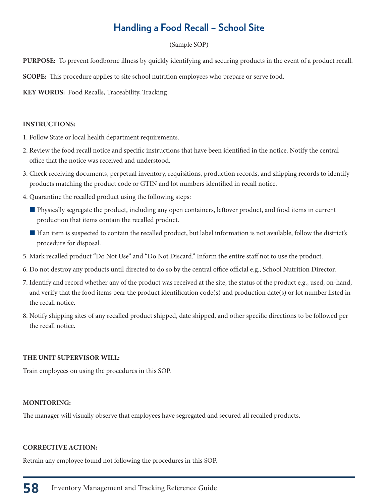### **Handling a Food Recall – School Site**

#### (Sample SOP)

**PURPOSE:** To prevent foodborne illness by quickly identifying and securing products in the event of a product recall.

**SCOPE:** This procedure applies to site school nutrition employees who prepare or serve food.

**KEY WORDS:** Food Recalls, Traceability, Tracking

#### **INSTRUCTIONS:**

1. Follow State or local health department requirements.

- 2. Review the food recall notice and specific instructions that have been identified in the notice. Notify the central office that the notice was received and understood.
- 3. Check receiving documents, perpetual inventory, requisitions, production records, and shipping records to identify products matching the product code or GTIN and lot numbers identified in recall notice.
- 4. Quarantine the recalled product using the following steps:
	- **Physically segregate the product, including any open containers, leftover product, and food items in current** production that items contain the recalled product.
	- If an item is suspected to contain the recalled product, but label information is not available, follow the district's procedure for disposal.
- 5. Mark recalled product "Do Not Use" and "Do Not Discard." Inform the entire staff not to use the product.
- 6. Do not destroy any products until directed to do so by the central office official e.g., School Nutrition Director.
- 7. Identify and record whether any of the product was received at the site, the status of the product e.g., used, on-hand, and verify that the food items bear the product identification code(s) and production date(s) or lot number listed in the recall notice.
- 8. Notify shipping sites of any recalled product shipped, date shipped, and other specific directions to be followed per the recall notice.

### **THE UNIT SUPERVISOR WILL:**

Train employees on using the procedures in this SOP.

#### **MONITORING:**

The manager will visually observe that employees have segregated and secured all recalled products.

#### **CORRECTIVE ACTION:**

Retrain any employee found not following the procedures in this SOP.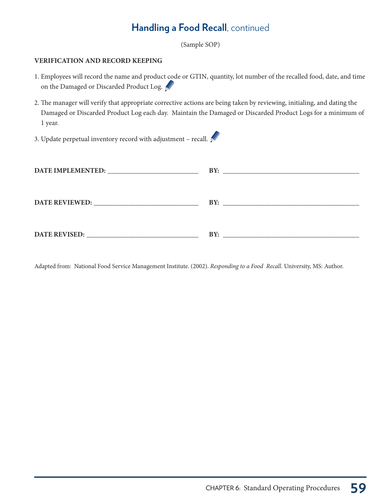### **Handling a Food Recall**, continued

(Sample SOP)

#### **VERIFICATION AND RECORD KEEPING**

- 1. Employees will record the name and product code or GTIN, quantity, lot number of the recalled food, date, and time on the Damaged or Discarded Product Log.
- 2. The manager will verify that appropriate corrective actions are being taken by reviewing, initialing, and dating the Damaged or Discarded Product Log each day. Maintain the Damaged or Discarded Product Logs for a minimum of 1 year.
- 3. Update perpetual inventory record with adjustment recall.  $\mathbb{R}^{\bullet}$

| DATE IMPLEMENTED: University of the state of the state of the state of the state of the state of the state of the state of the state of the state of the state of the state of the state of the state of the state of the stat |     |
|--------------------------------------------------------------------------------------------------------------------------------------------------------------------------------------------------------------------------------|-----|
| DATE REVIEWED: No. 1999                                                                                                                                                                                                        | BY: |
| DATE REVISED:                                                                                                                                                                                                                  | BY: |

Adapted from: National Food Service Management Institute. (2002). Responding to a Food Recall. University, MS: Author.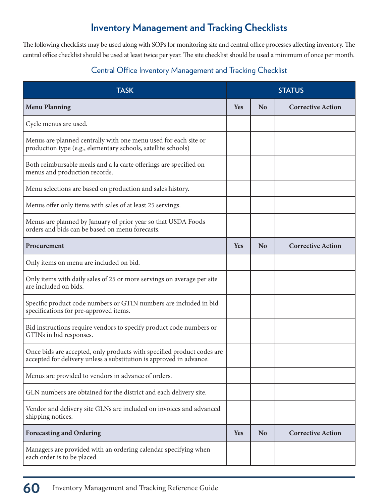### **Inventory Management and Tracking Checklists**

The following checklists may be used along with SOPs for monitoring site and central office processes affecting inventory. The central office checklist should be used at least twice per year. The site checklist should be used a minimum of once per month.

### Central Office Inventory Management and Tracking Checklist

| <b>TASK</b>                                                                                                                                   |            |                | <b>STATUS</b>            |
|-----------------------------------------------------------------------------------------------------------------------------------------------|------------|----------------|--------------------------|
| <b>Menu Planning</b>                                                                                                                          | Yes        | <b>No</b>      | <b>Corrective Action</b> |
| Cycle menus are used.                                                                                                                         |            |                |                          |
| Menus are planned centrally with one menu used for each site or<br>production type (e.g., elementary schools, satellite schools)              |            |                |                          |
| Both reimbursable meals and a la carte offerings are specified on<br>menus and production records.                                            |            |                |                          |
| Menu selections are based on production and sales history.                                                                                    |            |                |                          |
| Menus offer only items with sales of at least 25 servings.                                                                                    |            |                |                          |
| Menus are planned by January of prior year so that USDA Foods<br>orders and bids can be based on menu forecasts.                              |            |                |                          |
| Procurement                                                                                                                                   | <b>Yes</b> | N <sub>o</sub> | <b>Corrective Action</b> |
| Only items on menu are included on bid.                                                                                                       |            |                |                          |
| Only items with daily sales of 25 or more servings on average per site<br>are included on bids.                                               |            |                |                          |
| Specific product code numbers or GTIN numbers are included in bid<br>specifications for pre-approved items.                                   |            |                |                          |
| Bid instructions require vendors to specify product code numbers or<br>GTINs in bid responses.                                                |            |                |                          |
| Once bids are accepted, only products with specified product codes are<br>accepted for delivery unless a substitution is approved in advance. |            |                |                          |
| Menus are provided to vendors in advance of orders.                                                                                           |            |                |                          |
| GLN numbers are obtained for the district and each delivery site.                                                                             |            |                |                          |
| Vendor and delivery site GLNs are included on invoices and advanced<br>shipping notices.                                                      |            |                |                          |
| <b>Forecasting and Ordering</b>                                                                                                               | <b>Yes</b> | N <sub>o</sub> | <b>Corrective Action</b> |
| Managers are provided with an ordering calendar specifying when<br>each order is to be placed.                                                |            |                |                          |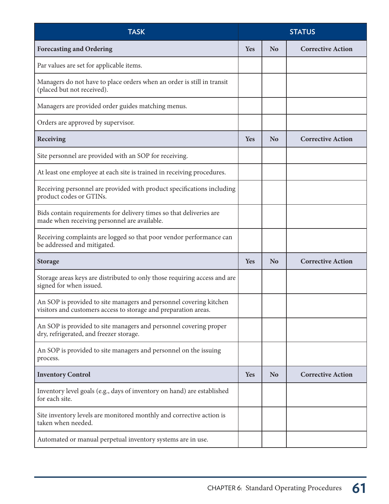| <b>TASK</b><br><b>STATUS</b>                                                                                                          |            |                |                          |
|---------------------------------------------------------------------------------------------------------------------------------------|------------|----------------|--------------------------|
| <b>Forecasting and Ordering</b>                                                                                                       | Yes        | <b>No</b>      | <b>Corrective Action</b> |
| Par values are set for applicable items.                                                                                              |            |                |                          |
| Managers do not have to place orders when an order is still in transit<br>(placed but not received).                                  |            |                |                          |
| Managers are provided order guides matching menus.                                                                                    |            |                |                          |
| Orders are approved by supervisor.                                                                                                    |            |                |                          |
| Receiving                                                                                                                             | Yes        | <b>No</b>      | <b>Corrective Action</b> |
| Site personnel are provided with an SOP for receiving.                                                                                |            |                |                          |
| At least one employee at each site is trained in receiving procedures.                                                                |            |                |                          |
| Receiving personnel are provided with product specifications including<br>product codes or GTINs.                                     |            |                |                          |
| Bids contain requirements for delivery times so that deliveries are<br>made when receiving personnel are available.                   |            |                |                          |
| Receiving complaints are logged so that poor vendor performance can<br>be addressed and mitigated.                                    |            |                |                          |
| <b>Storage</b>                                                                                                                        | Yes        | N <sub>o</sub> | <b>Corrective Action</b> |
| Storage areas keys are distributed to only those requiring access and are<br>signed for when issued.                                  |            |                |                          |
| An SOP is provided to site managers and personnel covering kitchen<br>visitors and customers access to storage and preparation areas. |            |                |                          |
| An SOP is provided to site managers and personnel covering proper<br>dry, refrigerated, and freezer storage.                          |            |                |                          |
| An SOP is provided to site managers and personnel on the issuing<br>process.                                                          |            |                |                          |
| <b>Inventory Control</b>                                                                                                              | <b>Yes</b> | <b>No</b>      | <b>Corrective Action</b> |
| Inventory level goals (e.g., days of inventory on hand) are established<br>for each site.                                             |            |                |                          |
| Site inventory levels are monitored monthly and corrective action is<br>taken when needed.                                            |            |                |                          |
| Automated or manual perpetual inventory systems are in use.                                                                           |            |                |                          |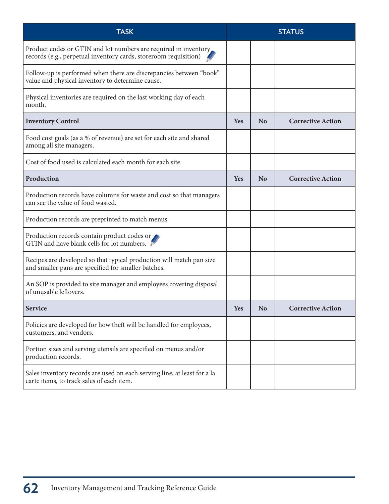| <b>TASK</b>                                                                                                                          |            |                | <b>STATUS</b>            |
|--------------------------------------------------------------------------------------------------------------------------------------|------------|----------------|--------------------------|
| Product codes or GTIN and lot numbers are required in inventory.<br>records (e.g., perpetual inventory cards, storeroom requisition) |            |                |                          |
| Follow-up is performed when there are discrepancies between "book"<br>value and physical inventory to determine cause.               |            |                |                          |
| Physical inventories are required on the last working day of each<br>month.                                                          |            |                |                          |
| <b>Inventory Control</b>                                                                                                             | Yes        | <b>No</b>      | <b>Corrective Action</b> |
| Food cost goals (as a % of revenue) are set for each site and shared<br>among all site managers.                                     |            |                |                          |
| Cost of food used is calculated each month for each site.                                                                            |            |                |                          |
| Production                                                                                                                           | Yes        | <b>No</b>      | <b>Corrective Action</b> |
| Production records have columns for waste and cost so that managers<br>can see the value of food wasted.                             |            |                |                          |
| Production records are preprinted to match menus.                                                                                    |            |                |                          |
| Production records contain product codes or<br>GTIN and have blank cells for lot numbers.                                            |            |                |                          |
| Recipes are developed so that typical production will match pan size<br>and smaller pans are specified for smaller batches.          |            |                |                          |
| An SOP is provided to site manager and employees covering disposal<br>of unusable leftovers.                                         |            |                |                          |
| <b>Service</b>                                                                                                                       | <b>Yes</b> | N <sub>o</sub> | <b>Corrective Action</b> |
| Policies are developed for how theft will be handled for employees,<br>customers, and vendors.                                       |            |                |                          |
| Portion sizes and serving utensils are specified on menus and/or<br>production records.                                              |            |                |                          |
| Sales inventory records are used on each serving line, at least for a la<br>carte items, to track sales of each item.                |            |                |                          |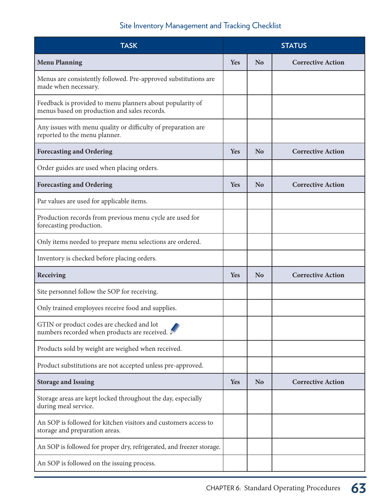### Site Inventory Management and Tracking Checklist

| <b>TASK</b>                                                                                               | <b>STATUS</b> |                |                          |
|-----------------------------------------------------------------------------------------------------------|---------------|----------------|--------------------------|
| <b>Menu Planning</b>                                                                                      | Yes           | No             | <b>Corrective Action</b> |
| Menus are consistently followed. Pre-approved substitutions are<br>made when necessary.                   |               |                |                          |
| Feedback is provided to menu planners about popularity of<br>menus based on production and sales records. |               |                |                          |
| Any issues with menu quality or difficulty of preparation are<br>reported to the menu planner.            |               |                |                          |
| <b>Forecasting and Ordering</b>                                                                           | Yes           | <b>No</b>      | <b>Corrective Action</b> |
| Order guides are used when placing orders.                                                                |               |                |                          |
| <b>Forecasting and Ordering</b>                                                                           | Yes           | N <sub>0</sub> | <b>Corrective Action</b> |
| Par values are used for applicable items.                                                                 |               |                |                          |
| Production records from previous menu cycle are used for<br>forecasting production.                       |               |                |                          |
| Only items needed to prepare menu selections are ordered.                                                 |               |                |                          |
| Inventory is checked before placing orders.                                                               |               |                |                          |
| Receiving                                                                                                 | Yes           | <b>No</b>      | <b>Corrective Action</b> |
| Site personnel follow the SOP for receiving.                                                              |               |                |                          |
| Only trained employees receive food and supplies.                                                         |               |                |                          |
| GTIN or product codes are checked and lot<br>numbers recorded when products are received. I               |               |                |                          |
| Products sold by weight are weighed when received.                                                        |               |                |                          |
| Product substitutions are not accepted unless pre-approved.                                               |               |                |                          |
| <b>Storage and Issuing</b>                                                                                | <b>Yes</b>    | <b>No</b>      | <b>Corrective Action</b> |
| Storage areas are kept locked throughout the day, especially<br>during meal service.                      |               |                |                          |
| An SOP is followed for kitchen visitors and customers access to<br>storage and preparation areas.         |               |                |                          |
| An SOP is followed for proper dry, refrigerated, and freezer storage.                                     |               |                |                          |
| An SOP is followed on the issuing process.                                                                |               |                |                          |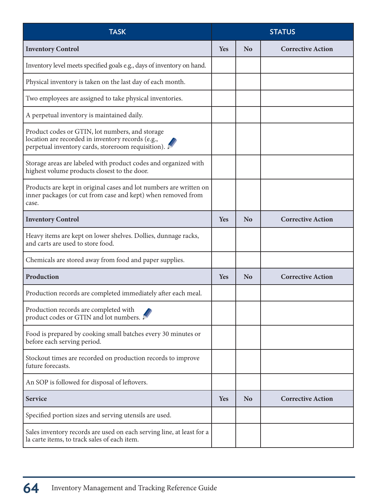| <b>TASK</b>                                                                                                                                                | <b>STATUS</b> |                |                          |
|------------------------------------------------------------------------------------------------------------------------------------------------------------|---------------|----------------|--------------------------|
| <b>Inventory Control</b>                                                                                                                                   | <b>Yes</b>    | <b>No</b>      | <b>Corrective Action</b> |
| Inventory level meets specified goals e.g., days of inventory on hand.                                                                                     |               |                |                          |
| Physical inventory is taken on the last day of each month.                                                                                                 |               |                |                          |
| Two employees are assigned to take physical inventories.                                                                                                   |               |                |                          |
| A perpetual inventory is maintained daily.                                                                                                                 |               |                |                          |
| Product codes or GTIN, lot numbers, and storage<br>location are recorded in inventory records (e.g.,<br>perpetual inventory cards, storeroom requisition). |               |                |                          |
| Storage areas are labeled with product codes and organized with<br>highest volume products closest to the door.                                            |               |                |                          |
| Products are kept in original cases and lot numbers are written on<br>inner packages (or cut from case and kept) when removed from<br>case.                |               |                |                          |
| <b>Inventory Control</b>                                                                                                                                   | <b>Yes</b>    | <b>No</b>      | <b>Corrective Action</b> |
| Heavy items are kept on lower shelves. Dollies, dunnage racks,<br>and carts are used to store food.                                                        |               |                |                          |
| Chemicals are stored away from food and paper supplies.                                                                                                    |               |                |                          |
| Production                                                                                                                                                 | <b>Yes</b>    | <b>No</b>      | <b>Corrective Action</b> |
| Production records are completed immediately after each meal.                                                                                              |               |                |                          |
| Production records are completed with<br>product codes or GTIN and lot numbers.                                                                            |               |                |                          |
| Food is prepared by cooking small batches every 30 minutes or<br>before each serving period.                                                               |               |                |                          |
| Stockout times are recorded on production records to improve<br>future forecasts.                                                                          |               |                |                          |
| An SOP is followed for disposal of leftovers.                                                                                                              |               |                |                          |
| <b>Service</b>                                                                                                                                             | <b>Yes</b>    | N <sub>o</sub> | <b>Corrective Action</b> |
| Specified portion sizes and serving utensils are used.                                                                                                     |               |                |                          |
| Sales inventory records are used on each serving line, at least for a<br>la carte items, to track sales of each item.                                      |               |                |                          |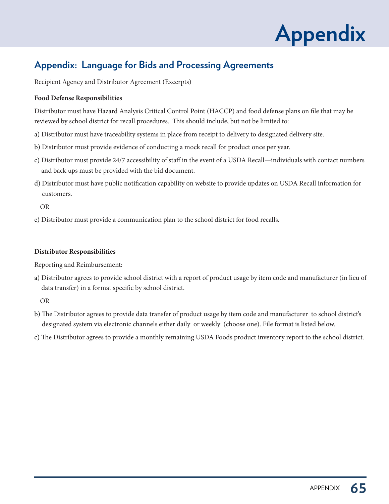

### **Appendix: Language for Bids and Processing Agreements**

Recipient Agency and Distributor Agreement (Excerpts)

#### **Food Defense Responsibilities**

Distributor must have Hazard Analysis Critical Control Point (HACCP) and food defense plans on file that may be reviewed by school district for recall procedures. This should include, but not be limited to:

- a) Distributor must have traceability systems in place from receipt to delivery to designated delivery site.
- b) Distributor must provide evidence of conducting a mock recall for product once per year.
- c) Distributor must provide 24/7 accessibility of staff in the event of a USDA Recall—individuals with contact numbers and back ups must be provided with the bid document.
- d) Distributor must have public notification capability on website to provide updates on USDA Recall information for customers.

OR

e) Distributor must provide a communication plan to the school district for food recalls.

#### **Distributor Responsibilities**

Reporting and Reimbursement:

a) Distributor agrees to provide school district with a report of product usage by item code and manufacturer (in lieu of data transfer) in a format specific by school district.

OR

- b) The Distributor agrees to provide data transfer of product usage by item code and manufacturer to school district's designated system via electronic channels either daily or weekly (choose one). File format is listed below.
- c) The Distributor agrees to provide a monthly remaining USDA Foods product inventory report to the school district.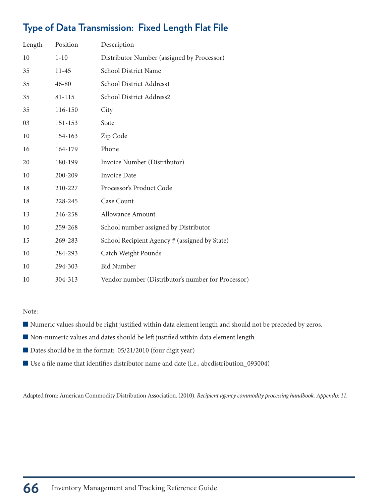# **Type of Data Transmission: Fixed Length Flat File**

| Length | Position  | Description                                        |
|--------|-----------|----------------------------------------------------|
| 10     | $1 - 10$  | Distributor Number (assigned by Processor)         |
| 35     | $11 - 45$ | School District Name                               |
| 35     | 46-80     | School District Address1                           |
| 35     | 81-115    | School District Address2                           |
| 35     | 116-150   | City                                               |
| 03     | 151-153   | State                                              |
| 10     | 154-163   | Zip Code                                           |
| 16     | 164-179   | Phone                                              |
| 20     | 180-199   | Invoice Number (Distributor)                       |
| 10     | 200-209   | <b>Invoice Date</b>                                |
| 18     | 210-227   | Processor's Product Code                           |
| 18     | 228-245   | Case Count                                         |
| 13     | 246-258   | Allowance Amount                                   |
| 10     | 259-268   | School number assigned by Distributor              |
| 15     | 269-283   | School Recipient Agency # (assigned by State)      |
| 10     | 284-293   | Catch Weight Pounds                                |
| 10     | 294-303   | <b>Bid Number</b>                                  |
| 10     | 304-313   | Vendor number (Distributor's number for Processor) |

Note:

- Numeric values should be right justified within data element length and should not be preceded by zeros.
- Non-numeric values and dates should be left justified within data element length
- Dates should be in the format: 05/21/2010 (four digit year)
- Use a file name that identifies distributor name and date (i.e., abcdistribution\_093004)

Adapted from: American Commodity Distribution Association. (2010). Recipient agency commodity processing handbook. Appendix 11.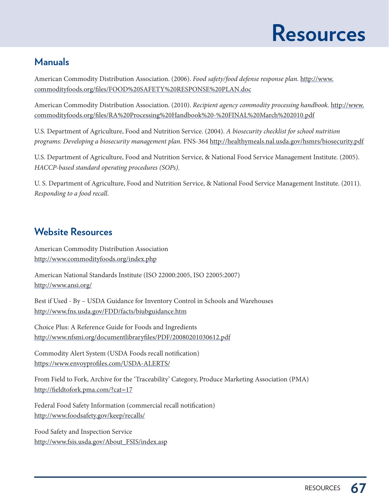### **Resources**

### **Manuals**

American Commodity Distribution Association. (2006). Food safety/food defense response plan. http://www. commodityfoods.org/files/FOOD%20SAFETY%20RESPONSE%20PLAN.doc

American Commodity Distribution Association. (2010). Recipient agency commodity processing handbook. http://www. commodityfoods.org/files/RA%20Processing%20Handbook%20-%20FINAL%20March%202010.pdf

U.S. Department of Agriculture, Food and Nutrition Service. (2004). A biosecurity checklist for school nutrition programs: Developing a biosecurity management plan. FNS-364 http://healthymeals.nal.usda.gov/hsmrs/biosecurity.pdf

U.S. Department of Agriculture, Food and Nutrition Service, & National Food Service Management Institute. (2005). HACCP-based standard operating procedures (SOPs).

U. S. Department of Agriculture, Food and Nutrition Service, & National Food Service Management Institute. (2011). Responding to a food recall.

### **Website Resources**

American Commodity Distribution Association http://www.commodityfoods.org/index.php

American National Standards Institute (ISO 22000:2005, ISO 22005:2007) http://www.ansi.org/

Best if Used - By – USDA Guidance for Inventory Control in Schools and Warehouses http://www.fns.usda.gov/FDD/facts/biubguidance.htm

Choice Plus: A Reference Guide for Foods and Ingredients http://www.nfsmi.org/documentlibraryfiles/PDF/20080201030612.pdf

Commodity Alert System (USDA Foods recall notification) https://www.envoyprofiles.com/USDA-ALERTS/

From Field to Fork, Archive for the 'Traceability' Category, Produce Marketing Association (PMA) http://fieldtofork.pma.com/?cat=17

Federal Food Safety Information (commercial recall notification) http://www.foodsafety.gov/keep/recalls/

Food Safety and Inspection Service http://www.fsis.usda.gov/About\_FSIS/index.asp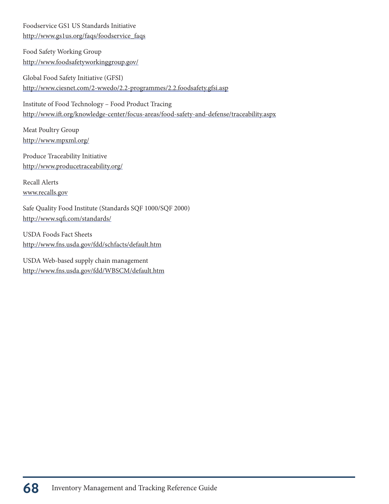Foodservice GS1 US Standards Initiative http://www.gs1us.org/faqs/foodservice\_faqs

Food Safety Working Group http://www.foodsafetyworkinggroup.gov/

Global Food Safety Initiative (GFSI) http://www.ciesnet.com/2-wwedo/2.2-programmes/2.2.foodsafety.gfsi.asp

Institute of Food Technology – Food Product Tracing http://www.ift.org/knowledge-center/focus-areas/food-safety-and-defense/traceability.aspx

Meat Poultry Group http://www.mpxml.org/

Produce Traceability Initiative http://www.producetraceability.org/

Recall Alerts www.recalls.gov

Safe Quality Food Institute (Standards SQF 1000/SQF 2000) http://www.sqfi.com/standards/

USDA Foods Fact Sheets http://www.fns.usda.gov/fdd/schfacts/default.htm

USDA Web-based supply chain management http://www.fns.usda.gov/fdd/WBSCM/default.htm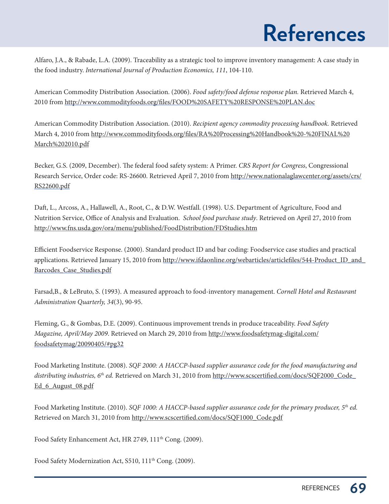## **References**

Alfaro, J.A., & Rabade, L.A. (2009). Traceability as a strategic tool to improve inventory management: A case study in the food industry. International Journal of Production Economics, 111, 104-110.

American Commodity Distribution Association. (2006). Food safety/food defense response plan. Retrieved March 4, 2010 from http://www.commodityfoods.org/files/FOOD%20SAFETY%20RESPONSE%20PLAN.doc

American Commodity Distribution Association. (2010). Recipient agency commodity processing handbook. Retrieved March 4, 2010 from http://www.commodityfoods.org/files/RA%20Processing%20Handbook%20-%20FINAL%20 March%202010.pdf

Becker, G.S. (2009, December). The federal food safety system: A Primer. CRS Report for Congress, Congressional Research Service, Order code: RS-26600. Retrieved April 7, 2010 from http://www.nationalaglawcenter.org/assets/crs/ RS22600.pdf

Daft, L., Arcoss, A., Hallawell, A., Root, C., & D.W. Westfall. (1998). U.S. Department of Agriculture, Food and Nutrition Service, Office of Analysis and Evaluation. School food purchase study. Retrieved on April 27, 2010 from http://www.fns.usda.gov/ora/menu/published/FoodDistribution/FDStudies.htm

Efficient Foodservice Response. (2000). Standard product ID and bar coding: Foodservice case studies and practical applications. Retrieved January 15, 2010 from http://www.ifdaonline.org/webarticles/articlefiles/544-Product\_ID\_and Barcodes\_Case\_Studies.pdf

Farsad,B., & LeBruto, S. (1993). A measured approach to food-inventory management. Cornell Hotel and Restaurant Administration Quarterly, 34(3), 90-95.

Fleming, G., & Gombas, D.E. (2009). Continuous improvement trends in produce traceability. Food Safety Magazine, April/May 2009. Retrieved on March 29, 2010 from http://www.foodsafetymag-digital.com/ foodsafetymag/20090405/#pg32

Food Marketing Institute. (2008). SQF 2000: A HACCP-based supplier assurance code for the food manufacturing and distributing industries, 6<sup>th</sup> ed. Retrieved on March 31, 2010 from http://www.scscertified.com/docs/SQF2000\_Code\_ Ed\_6\_August\_08.pdf

Food Marketing Institute. (2010). SQF 1000: A HACCP-based supplier assurance code for the primary producer, 5<sup>th</sup> ed. Retrieved on March 31, 2010 from http://www.scscertified.com/docs/SQF1000\_Code.pdf

Food Safety Enhancement Act, HR 2749, 111<sup>th</sup> Cong. (2009).

Food Safety Modernization Act, S510, 111<sup>th</sup> Cong. (2009).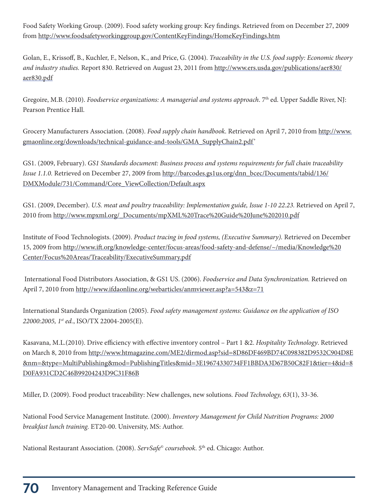Food Safety Working Group. (2009). Food safety working group: Key findings. Retrieved from on December 27, 2009 from http://www.foodsafetyworkinggroup.gov/ContentKeyFindings/HomeKeyFindings.htm

Golan, E., Krissoff, B., Kuchler, F., Nelson, K., and Price, G. (2004). Traceability in the U.S. food supply: Economic theory and industry studies. Report 830. Retrieved on August 23, 2011 from http://www.ers.usda.gov/publications/aer830/ aer830.pdf

Gregoire, M.B. (2010). Foodservice organizations: A managerial and systems approach. 7<sup>th</sup> ed. Upper Saddle River, NJ: Pearson Prentice Hall.

Grocery Manufacturers Association. (2008). Food supply chain handbook. Retrieved on April 7, 2010 from http://www. gmaonline.org/downloads/technical-guidance-and-tools/GMA\_SupplyChain2.pdf'

GS1. (2009, February). GS1 Standards document: Business process and systems requirements for full chain traceability Issue 1.1.0. Retrieved on December 27, 2009 from http://barcodes.gs1us.org/dnn\_bcec/Documents/tabid/136/ DMXModule/731/Command/Core\_ViewCollection/Default.aspx

GS1. (2009, December). U.S. meat and poultry traceability: Implementation guide, Issue 1-10 22.23. Retrieved on April 7, 2010 from http://www.mpxml.org/\_Documents/mpXML%20Trace%20Guide%20June%202010.pdf

Institute of Food Technologists. (2009). Product tracing in food systems, (Executive Summary). Retrieved on December 15, 2009 from http://www.ift.org/knowledge-center/focus-areas/food-safety-and-defense/~/media/Knowledge%20 Center/Focus%20Areas/Traceability/ExecutiveSummary.pdf

 International Food Distributors Association, & GS1 US. (2006). Foodservice and Data Synchronization. Retrieved on April 7, 2010 from http://www.ifdaonline.org/webarticles/anmviewer.asp?a=543&z=71

International Standards Organization (2005). Food safety management systems: Guidance on the application of ISO 22000:2005, 1st ed., ISO/TX 22004-2005(E).

Kasavana, M.L.(2010). Drive efficiency with effective inventory control – Part 1 &2. Hospitality Technology. Retrieved on March 8, 2010 from http://www.htmagazine.com/ME2/dirmod.asp?sid=8D86DF469BD74C098382D9532C904D8E &nm=&type=MultiPublishing&mod=PublishingTitles&mid=3E19674330734FF1BBDA3D67B50C82F1&tier=4&id=8 D0FA931CD2C46B99204243D9C31F86B

Miller, D. (2009). Food product traceability: New challenges, new solutions. Food Technology, 63(1), 33-36.

National Food Service Management Institute. (2000). Inventory Management for Child Nutrition Programs: 2000 breakfast lunch training. ET20-00. University, MS: Author.

National Restaurant Association. (2008). ServSafe® coursebook. 5<sup>th</sup> ed. Chicago: Author.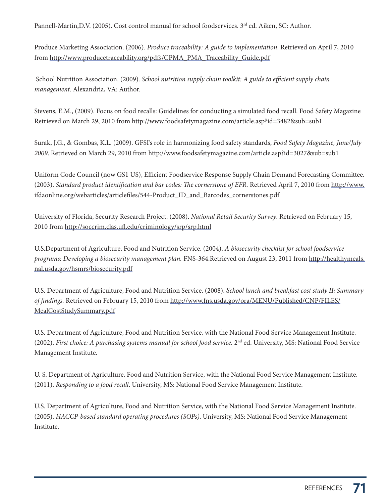Pannell-Martin,D.V. (2005). Cost control manual for school foodservices. 3<sup>rd</sup> ed. Aiken, SC: Author.

Produce Marketing Association. (2006). Produce traceability: A guide to implementation. Retrieved on April 7, 2010 from http://www.producetraceability.org/pdfs/CPMA\_PMA\_Traceability\_Guide.pdf

 School Nutrition Association. (2009). School nutrition supply chain toolkit: A guide to efficient supply chain management. Alexandria, VA: Author.

Stevens, E.M., (2009). Focus on food recalls: Guidelines for conducting a simulated food recall. Food Safety Magazine Retrieved on March 29, 2010 from http://www.foodsafetymagazine.com/article.asp?id=3482&sub=sub1

Surak, J.G., & Gombas, K.L. (2009). GFSI's role in harmonizing food safety standards, Food Safety Magazine, June/July 2009. Retrieved on March 29, 2010 from http://www.foodsafetymagazine.com/article.asp?id=3027&sub=sub1

Uniform Code Council (now GS1 US), Efficient Foodservice Response Supply Chain Demand Forecasting Committee. (2003). Standard product identification and bar codes: The cornerstone of EFR. Retrieved April 7, 2010 from http://www. ifdaonline.org/webarticles/articlefiles/544-Product\_ID\_and\_Barcodes\_cornerstones.pdf

University of Florida, Security Research Project. (2008). National Retail Security Survey. Retrieved on February 15, 2010 from http://soccrim.clas.ufl.edu/criminology/srp/srp.html

U.S.Department of Agriculture, Food and Nutrition Service. (2004). A biosecurity checklist for school foodservice programs: Developing a biosecurity management plan. FNS-364.Retrieved on August 23, 2011 from http://healthymeals. nal.usda.gov/hsmrs/biosecurity.pdf

U.S. Department of Agriculture, Food and Nutrition Service. (2008). School lunch and breakfast cost study II: Summary of findings. Retrieved on February 15, 2010 from http://www.fns.usda.gov/ora/MENU/Published/CNP/FILES/ MealCostStudySummary.pdf

U.S. Department of Agriculture, Food and Nutrition Service, with the National Food Service Management Institute. (2002). First choice: A purchasing systems manual for school food service. 2nd ed. University, MS: National Food Service Management Institute.

U. S. Department of Agriculture, Food and Nutrition Service, with the National Food Service Management Institute. (2011). Responding to a food recall. University, MS: National Food Service Management Institute.

U.S. Department of Agriculture, Food and Nutrition Service, with the National Food Service Management Institute. (2005). HACCP-based standard operating procedures (SOPs). University, MS: National Food Service Management Institute.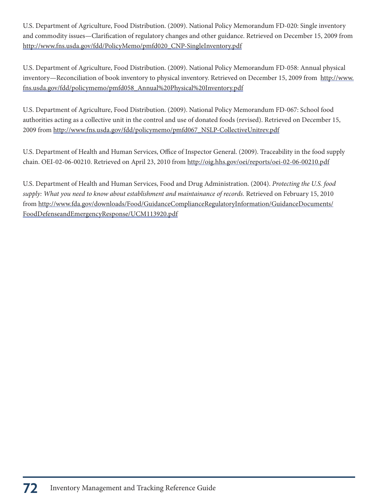U.S. Department of Agriculture, Food Distribution. (2009). National Policy Memorandum FD-020: Single inventory and commodity issues—Clarification of regulatory changes and other guidance. Retrieved on December 15, 2009 from http://www.fns.usda.gov/fdd/PolicyMemo/pmfd020\_CNP-SingleInventory.pdf

U.S. Department of Agriculture, Food Distribution. (2009). National Policy Memorandum FD-058: Annual physical inventory—Reconciliation of book inventory to physical inventory. Retrieved on December 15, 2009 from http://www. fns.usda.gov/fdd/policymemo/pmfd058\_Annual%20Physical%20Inventory.pdf

U.S. Department of Agriculture, Food Distribution. (2009). National Policy Memorandum FD-067: School food authorities acting as a collective unit in the control and use of donated foods (revised). Retrieved on December 15, 2009 from http://www.fns.usda.gov/fdd/policymemo/pmfd067\_NSLP-CollectiveUnitrev.pdf

U.S. Department of Health and Human Services, Office of Inspector General. (2009). Traceability in the food supply chain. OEI-02-06-00210. Retrieved on April 23, 2010 from http://oig.hhs.gov/oei/reports/oei-02-06-00210.pdf

U.S. Department of Health and Human Services, Food and Drug Administration. (2004). Protecting the U.S. food supply: What you need to know about establishment and maintainance of records. Retrieved on February 15, 2010 from http://www.fda.gov/downloads/Food/GuidanceComplianceRegulatoryInformation/GuidanceDocuments/ FoodDefenseandEmergencyResponse/UCM113920.pdf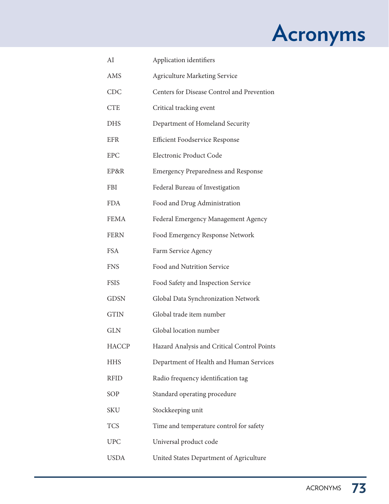# **Acronyms**

| AI           | Application identifiers                     |
|--------------|---------------------------------------------|
| AMS          | <b>Agriculture Marketing Service</b>        |
| <b>CDC</b>   | Centers for Disease Control and Prevention  |
| <b>CTE</b>   | Critical tracking event                     |
| <b>DHS</b>   | Department of Homeland Security             |
| <b>EFR</b>   | <b>Efficient Foodservice Response</b>       |
| <b>EPC</b>   | Electronic Product Code                     |
| EP&R         | <b>Emergency Preparedness and Response</b>  |
| FBI          | Federal Bureau of Investigation             |
| <b>FDA</b>   | Food and Drug Administration                |
| <b>FEMA</b>  | Federal Emergency Management Agency         |
| <b>FERN</b>  | Food Emergency Response Network             |
| <b>FSA</b>   | Farm Service Agency                         |
| <b>FNS</b>   | Food and Nutrition Service                  |
| <b>FSIS</b>  | Food Safety and Inspection Service          |
| <b>GDSN</b>  | Global Data Synchronization Network         |
| <b>GTIN</b>  | Global trade item number                    |
| <b>GLN</b>   | Global location number                      |
| <b>HACCP</b> | Hazard Analysis and Critical Control Points |
| <b>HHS</b>   | Department of Health and Human Services     |
| <b>RFID</b>  | Radio frequency identification tag          |
| SOP          | Standard operating procedure                |
| <b>SKU</b>   | Stockkeeping unit                           |
| <b>TCS</b>   | Time and temperature control for safety     |
| <b>UPC</b>   | Universal product code                      |
| USDA         | United States Department of Agriculture     |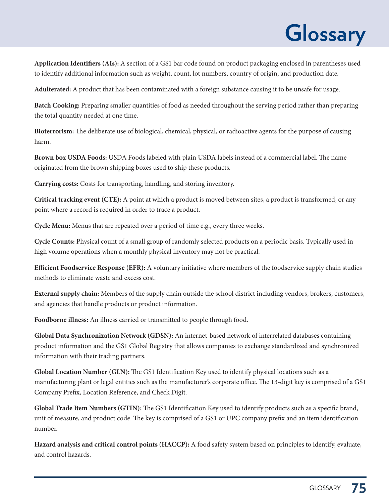# **Glossary**

**Application Identifiers (AIs):** A section of a GS1 bar code found on product packaging enclosed in parentheses used to identify additional information such as weight, count, lot numbers, country of origin, and production date.

**Adulterated:** A product that has been contaminated with a foreign substance causing it to be unsafe for usage.

**Batch Cooking:** Preparing smaller quantities of food as needed throughout the serving period rather than preparing the total quantity needed at one time.

**Bioterrorism:** The deliberate use of biological, chemical, physical, or radioactive agents for the purpose of causing harm.

**Brown box USDA Foods:** USDA Foods labeled with plain USDA labels instead of a commercial label. The name originated from the brown shipping boxes used to ship these products.

**Carrying costs:** Costs for transporting, handling, and storing inventory.

**Critical tracking event (CTE):** A point at which a product is moved between sites, a product is transformed, or any point where a record is required in order to trace a product.

**Cycle Menu:** Menus that are repeated over a period of time e.g., every three weeks.

**Cycle Counts:** Physical count of a small group of randomly selected products on a periodic basis. Typically used in high volume operations when a monthly physical inventory may not be practical.

**Efficient Foodservice Response (EFR):** A voluntary initiative where members of the foodservice supply chain studies methods to eliminate waste and excess cost.

**External supply chain:** Members of the supply chain outside the school district including vendors, brokers, customers, and agencies that handle products or product information.

**Foodborne illness:** An illness carried or transmitted to people through food.

**Global Data Synchronization Network (GDSN):** An internet-based network of interrelated databases containing product information and the GS1 Global Registry that allows companies to exchange standardized and synchronized information with their trading partners.

**Global Location Number (GLN):** The GS1 Identification Key used to identify physical locations such as a manufacturing plant or legal entities such as the manufacturer's corporate office. The 13-digit key is comprised of a GS1 Company Prefix, Location Reference, and Check Digit.

**Global Trade Item Numbers (GTIN):** The GS1 Identification Key used to identify products such as a specific brand, unit of measure, and product code. The key is comprised of a GS1 or UPC company prefix and an item identification number.

**Hazard analysis and critical control points (HACCP):** A food safety system based on principles to identify, evaluate, and control hazards.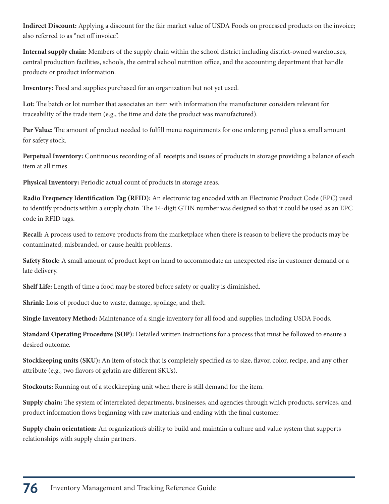**Indirect Discount:** Applying a discount for the fair market value of USDA Foods on processed products on the invoice; also referred to as "net off invoice".

**Internal supply chain:** Members of the supply chain within the school district including district-owned warehouses, central production facilities, schools, the central school nutrition office, and the accounting department that handle products or product information.

**Inventory:** Food and supplies purchased for an organization but not yet used.

**Lot:** The batch or lot number that associates an item with information the manufacturer considers relevant for traceability of the trade item (e.g., the time and date the product was manufactured).

**Par Value:** The amount of product needed to fulfill menu requirements for one ordering period plus a small amount for safety stock.

**Perpetual Inventory:** Continuous recording of all receipts and issues of products in storage providing a balance of each item at all times.

**Physical Inventory:** Periodic actual count of products in storage areas.

**Radio Frequency Identification Tag (RFID):** An electronic tag encoded with an Electronic Product Code (EPC) used to identify products within a supply chain. The 14-digit GTIN number was designed so that it could be used as an EPC code in RFID tags.

**Recall:** A process used to remove products from the marketplace when there is reason to believe the products may be contaminated, misbranded, or cause health problems.

**Safety Stock:** A small amount of product kept on hand to accommodate an unexpected rise in customer demand or a late delivery.

**Shelf Life:** Length of time a food may be stored before safety or quality is diminished.

**Shrink:** Loss of product due to waste, damage, spoilage, and theft.

**Single Inventory Method:** Maintenance of a single inventory for all food and supplies, including USDA Foods.

**Standard Operating Procedure (SOP):** Detailed written instructions for a process that must be followed to ensure a desired outcome.

**Stockkeeping units (SKU):** An item of stock that is completely specified as to size, flavor, color, recipe, and any other attribute (e.g., two flavors of gelatin are different SKUs).

**Stockouts:** Running out of a stockkeeping unit when there is still demand for the item.

**Supply chain:** The system of interrelated departments, businesses, and agencies through which products, services, and product information flows beginning with raw materials and ending with the final customer.

**Supply chain orientation:** An organization's ability to build and maintain a culture and value system that supports relationships with supply chain partners.